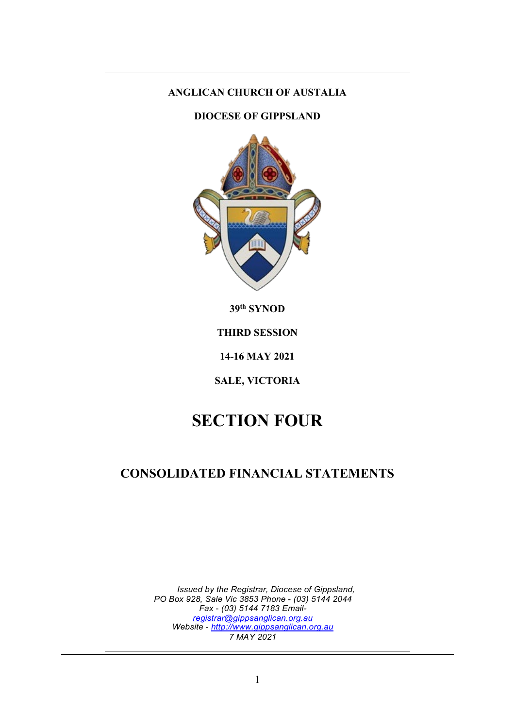### **ANGLICAN CHURCH OF AUSTALIA**

### **DIOCESE OF GIPPSLAND**



**39th SYNOD**

**THIRD SESSION**

**14-16 MAY 2021**

**SALE, VICTORIA**

# **SECTION FOUR**

# **CONSOLIDATED FINANCIAL STATEMENTS**

*Issued by the Registrar, Diocese of Gippsland, PO Box 928, Sale Vic 3853 Phone* - *(03) 5144 2044 Fax* - *(03) 5144 7183 Email[registrar@gippsanglican.org.au](mailto:registrar@gippsanglican.org.au) Website* - *[http://www.gippsanglican.org.au](http://www.gippsanglican.org.au/) 7 MAY 2021*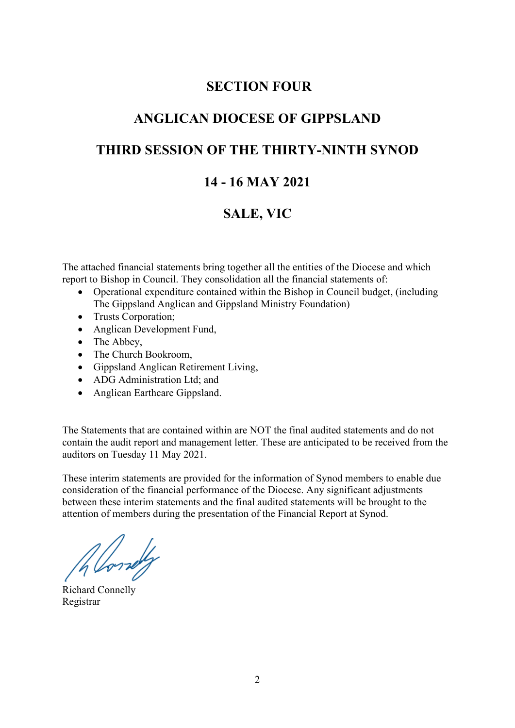# **SECTION FOUR**

# **ANGLICAN DIOCESE OF GIPPSLAND**

## **THIRD SESSION OF THE THIRTY-NINTH SYNOD**

# **14 - 16 MAY 2021**

# **SALE, VIC**

The attached financial statements bring together all the entities of the Diocese and which report to Bishop in Council. They consolidation all the financial statements of:

- Operational expenditure contained within the Bishop in Council budget, (including The Gippsland Anglican and Gippsland Ministry Foundation)
- Trusts Corporation;
- Anglican Development Fund,
- The Abbey,
- The Church Bookroom,
- Gippsland Anglican Retirement Living,
- ADG Administration Ltd; and
- Anglican Earthcare Gippsland.

The Statements that are contained within are NOT the final audited statements and do not contain the audit report and management letter. These are anticipated to be received from the auditors on Tuesday 11 May 2021.

These interim statements are provided for the information of Synod members to enable due consideration of the financial performance of the Diocese. Any significant adjustments between these interim statements and the final audited statements will be brought to the attention of members during the presentation of the Financial Report at Synod.

Allowedy

Richard Connelly Registrar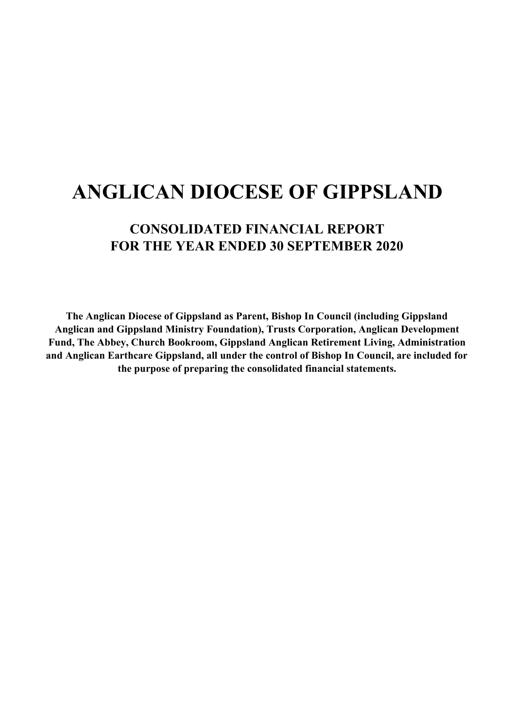# **CONSOLIDATED FINANCIAL REPORT FOR THE YEAR ENDED 30 SEPTEMBER 2020**

**The Anglican Diocese of Gippsland as Parent, Bishop In Council (including Gippsland Anglican and Gippsland Ministry Foundation), Trusts Corporation, Anglican Development Fund, The Abbey, Church Bookroom, Gippsland Anglican Retirement Living, Administration and Anglican Earthcare Gippsland, all under the control of Bishop In Council, are included for the purpose of preparing the consolidated financial statements.**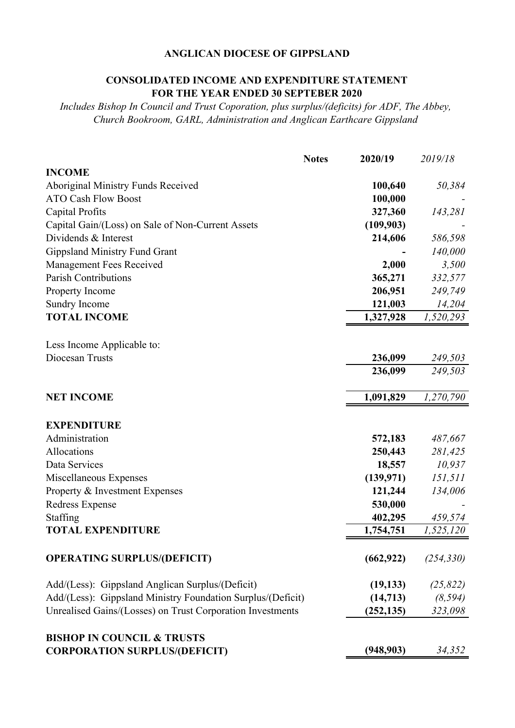#### **CONSOLIDATED INCOME AND EXPENDITURE STATEMENT FOR THE YEAR ENDED 30 SEPTEBER 2020**

*Includes Bishop In Council and Trust Coporation, plus surplus/(deficits) for ADF, The Abbey, Church Bookroom, GARL, Administration and Anglican Earthcare Gippsland*

|                                                                               | <b>Notes</b> | 2020/19    | 2019/18    |
|-------------------------------------------------------------------------------|--------------|------------|------------|
| <b>INCOME</b>                                                                 |              |            |            |
| Aboriginal Ministry Funds Received                                            |              | 100,640    | 50,384     |
| <b>ATO Cash Flow Boost</b>                                                    |              | 100,000    |            |
| Capital Profits                                                               |              | 327,360    | 143,281    |
| Capital Gain/(Loss) on Sale of Non-Current Assets                             |              | (109,903)  |            |
| Dividends & Interest                                                          |              | 214,606    | 586,598    |
| <b>Gippsland Ministry Fund Grant</b>                                          |              |            | 140,000    |
| Management Fees Received                                                      |              | 2,000      | 3,500      |
| <b>Parish Contributions</b>                                                   |              | 365,271    | 332,577    |
| Property Income                                                               |              | 206,951    | 249,749    |
| Sundry Income                                                                 |              | 121,003    | 14,204     |
| <b>TOTAL INCOME</b>                                                           |              | 1,327,928  | 1,520,293  |
|                                                                               |              |            |            |
| Less Income Applicable to:                                                    |              |            |            |
| Diocesan Trusts                                                               |              | 236,099    | 249,503    |
|                                                                               |              | 236,099    | 249,503    |
|                                                                               |              | 1,091,829  |            |
| <b>NET INCOME</b>                                                             |              |            | 1,270,790  |
| <b>EXPENDITURE</b>                                                            |              |            |            |
| Administration                                                                |              | 572,183    | 487,667    |
| Allocations                                                                   |              | 250,443    | 281,425    |
| Data Services                                                                 |              | 18,557     | 10,937     |
| Miscellaneous Expenses                                                        |              | (139, 971) | 151,511    |
| Property & Investment Expenses                                                |              | 121,244    | 134,006    |
| Redress Expense                                                               |              | 530,000    |            |
| Staffing                                                                      |              | 402,295    | 459,574    |
| <b>TOTAL EXPENDITURE</b>                                                      |              | 1,754,751  | 1,525,120  |
|                                                                               |              |            |            |
| <b>OPERATING SURPLUS/(DEFICIT)</b>                                            |              | (662, 922) | (254, 330) |
| Add/(Less): Gippsland Anglican Surplus/(Deficit)                              |              | (19, 133)  | (25, 822)  |
| Add/(Less): Gippsland Ministry Foundation Surplus/(Deficit)                   |              | (14, 713)  | (8, 594)   |
| Unrealised Gains/(Losses) on Trust Corporation Investments                    |              | (252, 135) | 323,098    |
|                                                                               |              |            |            |
| <b>BISHOP IN COUNCIL &amp; TRUSTS</b><br><b>CORPORATION SURPLUS/(DEFICIT)</b> |              | (948, 903) | 34,352     |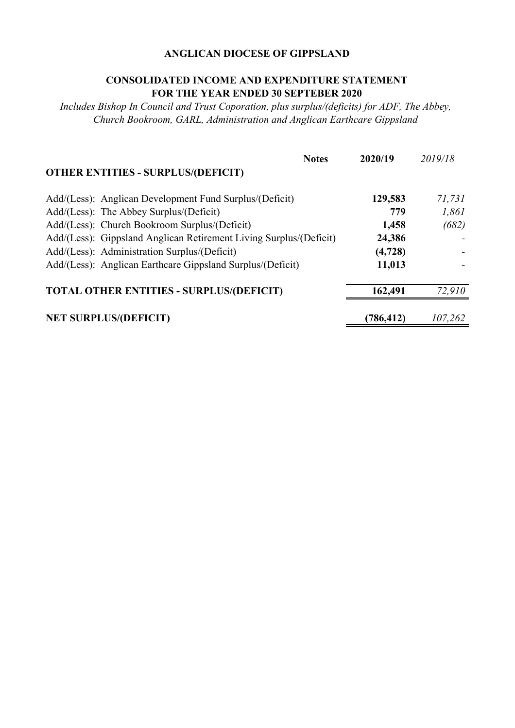#### **CONSOLIDATED INCOME AND EXPENDITURE STATEMENT FOR THE YEAR ENDED 30 SEPTEBER 2020**

*Includes Bishop In Council and Trust Coporation, plus surplus/(deficits) for ADF, The Abbey, Church Bookroom, GARL, Administration and Anglican Earthcare Gippsland*

|                                                                    | <b>Notes</b> | 2020/19   | 2019/18 |
|--------------------------------------------------------------------|--------------|-----------|---------|
| <b>OTHER ENTITIES - SURPLUS/(DEFICIT)</b>                          |              |           |         |
| Add/(Less): Anglican Development Fund Surplus/(Deficit)            |              | 129,583   | 71,731  |
| Add/(Less): The Abbey Surplus/(Deficit)                            |              | 779       | 1,861   |
| Add/(Less): Church Bookroom Surplus/(Deficit)                      |              | 1,458     | (682)   |
| Add/(Less): Gippsland Anglican Retirement Living Surplus/(Deficit) |              | 24,386    |         |
| Add/(Less): Administration Surplus/(Deficit)                       |              | (4, 728)  |         |
| Add/(Less): Anglican Earthcare Gippsland Surplus/(Deficit)         |              | 11,013    |         |
| <b>TOTAL OTHER ENTITIES - SURPLUS/(DEFICIT)</b>                    |              | 162,491   | 72.910  |
| <b>NET SURPLUS/(DEFICIT)</b>                                       |              | (786,412) | 107,262 |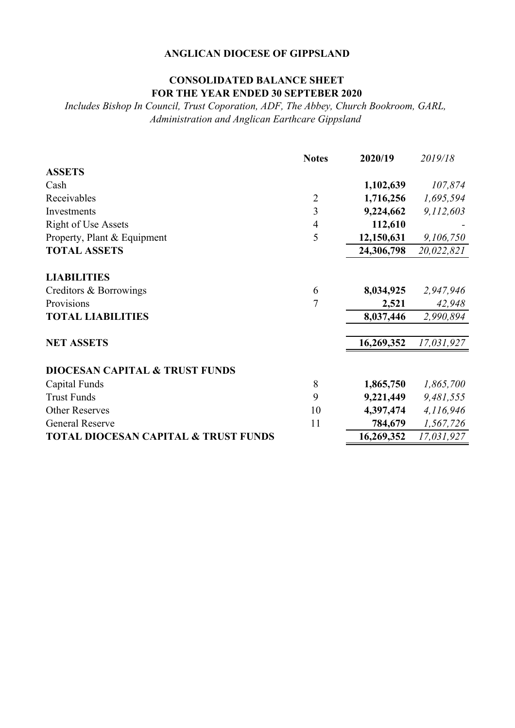### **CONSOLIDATED BALANCE SHEET FOR THE YEAR ENDED 30 SEPTEBER 2020**

*Includes Bishop In Council, Trust Coporation, ADF, The Abbey, Church Bookroom, GARL, Administration and Anglican Earthcare Gippsland*

|                                                 | <b>Notes</b>   | 2020/19    | 2019/18    |
|-------------------------------------------------|----------------|------------|------------|
| <b>ASSETS</b>                                   |                |            |            |
| Cash                                            |                | 1,102,639  | 107,874    |
| Receivables                                     | $\overline{2}$ | 1,716,256  | 1,695,594  |
| Investments                                     | 3              | 9,224,662  | 9,112,603  |
| <b>Right of Use Assets</b>                      | $\overline{4}$ | 112,610    |            |
| Property, Plant & Equipment                     | 5              | 12,150,631 | 9,106,750  |
| <b>TOTAL ASSETS</b>                             |                | 24,306,798 | 20,022,821 |
| <b>LIABILITIES</b>                              |                |            |            |
| Creditors & Borrowings                          | 6              | 8,034,925  | 2,947,946  |
| Provisions                                      | 7              | 2,521      | 42,948     |
| <b>TOTAL LIABILITIES</b>                        |                | 8,037,446  | 2,990,894  |
| <b>NET ASSETS</b>                               |                | 16,269,352 | 17,031,927 |
| <b>DIOCESAN CAPITAL &amp; TRUST FUNDS</b>       |                |            |            |
| Capital Funds                                   | 8              | 1,865,750  | 1,865,700  |
| <b>Trust Funds</b>                              | 9              | 9,221,449  | 9,481,555  |
| <b>Other Reserves</b>                           | 10             | 4,397,474  | 4,116,946  |
| <b>General Reserve</b>                          | 11             | 784,679    | 1,567,726  |
| <b>TOTAL DIOCESAN CAPITAL &amp; TRUST FUNDS</b> |                | 16,269,352 | 17,031,927 |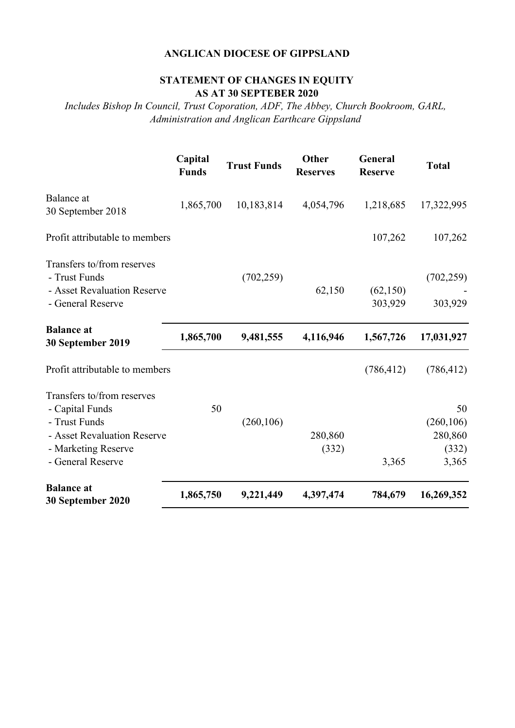#### **STATEMENT OF CHANGES IN EQUITY AS AT 30 SEPTEBER 2020**

*Includes Bishop In Council, Trust Coporation, ADF, The Abbey, Church Bookroom, GARL, Administration and Anglican Earthcare Gippsland*

|                                                                                                                                           | Capital<br><b>Funds</b> | <b>Trust Funds</b> | <b>Other</b><br><b>Reserves</b> | General<br><b>Reserve</b> | <b>Total</b>                                  |
|-------------------------------------------------------------------------------------------------------------------------------------------|-------------------------|--------------------|---------------------------------|---------------------------|-----------------------------------------------|
| Balance at<br>30 September 2018                                                                                                           | 1,865,700               | 10,183,814         | 4,054,796                       | 1,218,685                 | 17,322,995                                    |
| Profit attributable to members                                                                                                            |                         |                    |                                 | 107,262                   | 107,262                                       |
| Transfers to/from reserves<br>- Trust Funds<br>- Asset Revaluation Reserve<br>- General Reserve                                           |                         | (702, 259)         | 62,150                          | (62, 150)<br>303,929      | (702, 259)<br>303,929                         |
| <b>Balance at</b><br>30 September 2019                                                                                                    | 1,865,700               | 9,481,555          | 4,116,946                       | 1,567,726                 | 17,031,927                                    |
| Profit attributable to members                                                                                                            |                         |                    |                                 | (786, 412)                | (786, 412)                                    |
| Transfers to/from reserves<br>- Capital Funds<br>- Trust Funds<br>- Asset Revaluation Reserve<br>- Marketing Reserve<br>- General Reserve | 50                      | (260, 106)         | 280,860<br>(332)                | 3,365                     | 50<br>(260, 106)<br>280,860<br>(332)<br>3,365 |
| <b>Balance at</b><br>30 September 2020                                                                                                    | 1,865,750               | 9,221,449          | 4,397,474                       | 784,679                   | 16,269,352                                    |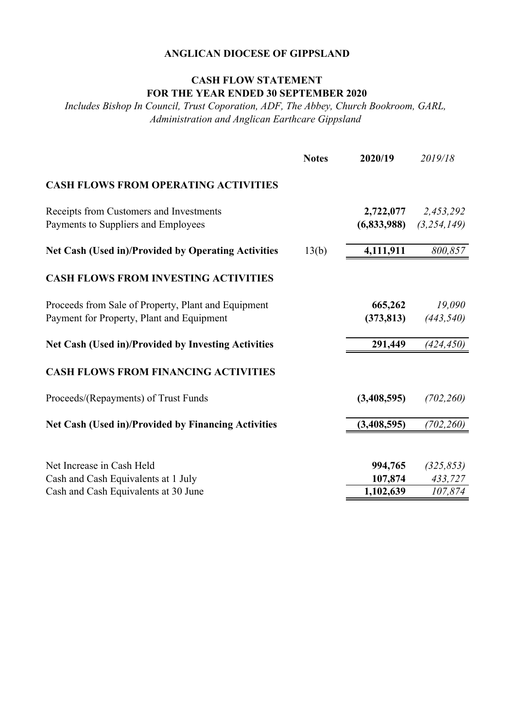### **CASH FLOW STATEMENT FOR THE YEAR ENDED 30 SEPTEMBER 2020**

*Includes Bishop In Council, Trust Coporation, ADF, The Abbey, Church Bookroom, GARL, Administration and Anglican Earthcare Gippsland*

|                                                     | <b>Notes</b> | 2020/19     | 2019/18     |
|-----------------------------------------------------|--------------|-------------|-------------|
| <b>CASH FLOWS FROM OPERATING ACTIVITIES</b>         |              |             |             |
| Receipts from Customers and Investments             |              | 2,722,077   | 2,453,292   |
| Payments to Suppliers and Employees                 |              | (6,833,988) | (3,254,149) |
| Net Cash (Used in)/Provided by Operating Activities | 13(b)        | 4,111,911   | 800,857     |
| <b>CASH FLOWS FROM INVESTING ACTIVITIES</b>         |              |             |             |
| Proceeds from Sale of Property, Plant and Equipment |              | 665,262     | 19,090      |
| Payment for Property, Plant and Equipment           |              | (373, 813)  | (443, 540)  |
| Net Cash (Used in)/Provided by Investing Activities |              | 291,449     | (424, 450)  |
| <b>CASH FLOWS FROM FINANCING ACTIVITIES</b>         |              |             |             |
| Proceeds/(Repayments) of Trust Funds                |              | (3,408,595) | (702, 260)  |
| Net Cash (Used in)/Provided by Financing Activities |              | (3,408,595) | (702, 260)  |
|                                                     |              |             |             |
| Net Increase in Cash Held                           |              | 994,765     | (325, 853)  |
| Cash and Cash Equivalents at 1 July                 |              | 107,874     | 433,727     |
| Cash and Cash Equivalents at 30 June                |              | 1,102,639   | 107,874     |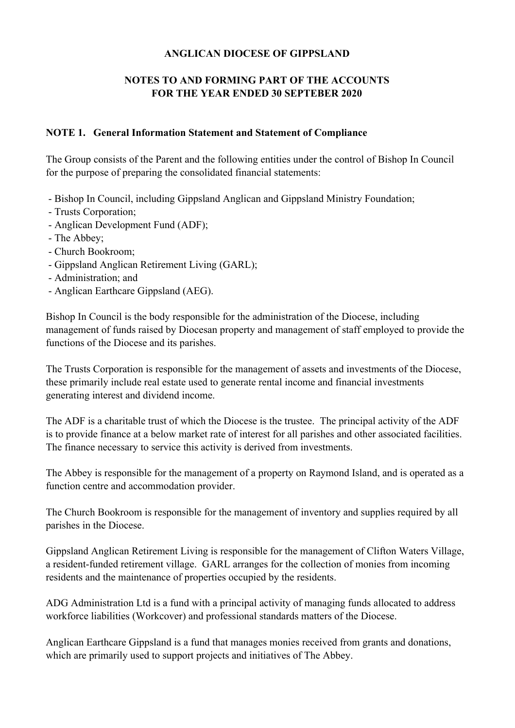### **NOTES TO AND FORMING PART OF THE ACCOUNTS FOR THE YEAR ENDED 30 SEPTEBER 2020**

#### **NOTE 1. General Information Statement and Statement of Compliance**

The Group consists of the Parent and the following entities under the control of Bishop In Council for the purpose of preparing the consolidated financial statements:

- Bishop In Council, including Gippsland Anglican and Gippsland Ministry Foundation;
- Trusts Corporation;
- Anglican Development Fund (ADF);
- The Abbey;
- Church Bookroom;
- Gippsland Anglican Retirement Living (GARL);
- Administration; and
- Anglican Earthcare Gippsland (AEG).

Bishop In Council is the body responsible for the administration of the Diocese, including management of funds raised by Diocesan property and management of staff employed to provide the functions of the Diocese and its parishes.

The Trusts Corporation is responsible for the management of assets and investments of the Diocese, these primarily include real estate used to generate rental income and financial investments generating interest and dividend income.

The ADF is a charitable trust of which the Diocese is the trustee. The principal activity of the ADF is to provide finance at a below market rate of interest for all parishes and other associated facilities. The finance necessary to service this activity is derived from investments.

The Abbey is responsible for the management of a property on Raymond Island, and is operated as a function centre and accommodation provider.

The Church Bookroom is responsible for the management of inventory and supplies required by all parishes in the Diocese.

Gippsland Anglican Retirement Living is responsible for the management of Clifton Waters Village, a resident-funded retirement village. GARL arranges for the collection of monies from incoming residents and the maintenance of properties occupied by the residents.

ADG Administration Ltd is a fund with a principal activity of managing funds allocated to address workforce liabilities (Workcover) and professional standards matters of the Diocese.

Anglican Earthcare Gippsland is a fund that manages monies received from grants and donations, which are primarily used to support projects and initiatives of The Abbey.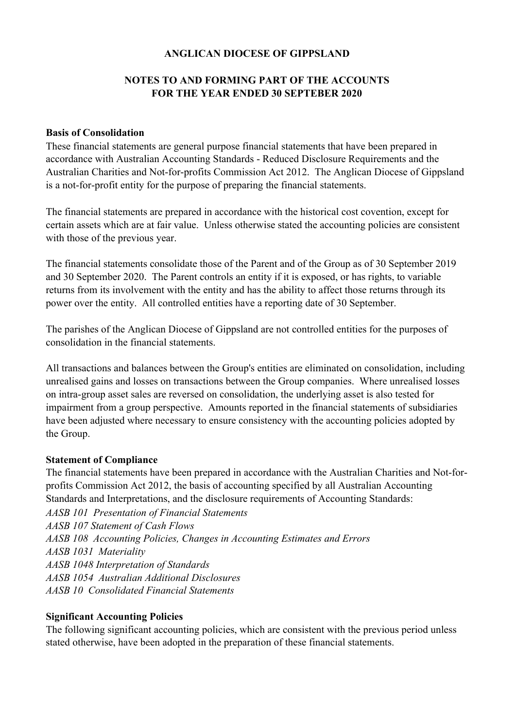### **NOTES TO AND FORMING PART OF THE ACCOUNTS FOR THE YEAR ENDED 30 SEPTEBER 2020**

#### **Basis of Consolidation**

These financial statements are general purpose financial statements that have been prepared in accordance with Australian Accounting Standards - Reduced Disclosure Requirements and the Australian Charities and Not-for-profits Commission Act 2012. The Anglican Diocese of Gippsland is a not-for-profit entity for the purpose of preparing the financial statements.

The financial statements are prepared in accordance with the historical cost covention, except for certain assets which are at fair value. Unless otherwise stated the accounting policies are consistent with those of the previous year.

The financial statements consolidate those of the Parent and of the Group as of 30 September 2019 and 30 September 2020. The Parent controls an entity if it is exposed, or has rights, to variable returns from its involvement with the entity and has the ability to affect those returns through its power over the entity. All controlled entities have a reporting date of 30 September.

The parishes of the Anglican Diocese of Gippsland are not controlled entities for the purposes of consolidation in the financial statements.

All transactions and balances between the Group's entities are eliminated on consolidation, including unrealised gains and losses on transactions between the Group companies. Where unrealised losses on intra-group asset sales are reversed on consolidation, the underlying asset is also tested for impairment from a group perspective. Amounts reported in the financial statements of subsidiaries have been adjusted where necessary to ensure consistency with the accounting policies adopted by the Group.

#### **Statement of Compliance**

*AASB 107 Statement of Cash Flows AASB 1048 Interpretation of Standards AASB 1054 Australian Additional Disclosures AASB 10 Consolidated Financial Statements* The financial statements have been prepared in accordance with the Australian Charities and Not-forprofits Commission Act 2012, the basis of accounting specified by all Australian Accounting Standards and Interpretations, and the disclosure requirements of Accounting Standards: *AASB 101 Presentation of Financial Statements AASB 108 Accounting Policies, Changes in Accounting Estimates and Errors AASB 1031 Materiality*

#### **Significant Accounting Policies**

The following significant accounting policies, which are consistent with the previous period unless stated otherwise, have been adopted in the preparation of these financial statements.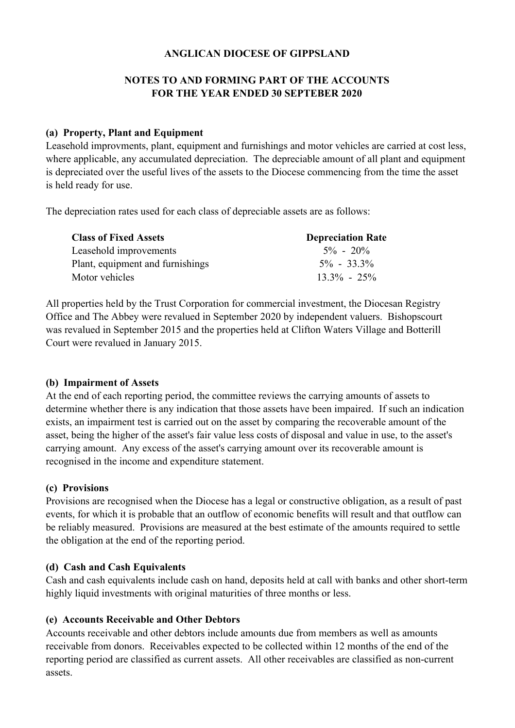#### **NOTES TO AND FORMING PART OF THE ACCOUNTS FOR THE YEAR ENDED 30 SEPTEBER 2020**

#### **(a) Property, Plant and Equipment**

Leasehold improvments, plant, equipment and furnishings and motor vehicles are carried at cost less, where applicable, any accumulated depreciation. The depreciable amount of all plant and equipment is depreciated over the useful lives of the assets to the Diocese commencing from the time the asset is held ready for use.

The depreciation rates used for each class of depreciable assets are as follows:

| <b>Class of Fixed Assets</b>     | <b>Depreciation Rate</b> |
|----------------------------------|--------------------------|
| Leasehold improvements           | $5\% - 20\%$             |
| Plant, equipment and furnishings | $5\% - 33.3\%$           |
| Motor vehicles                   | $13.3\% - 25\%$          |

All properties held by the Trust Corporation for commercial investment, the Diocesan Registry Office and The Abbey were revalued in September 2020 by independent valuers. Bishopscourt was revalued in September 2015 and the properties held at Clifton Waters Village and Botterill Court were revalued in January 2015.

#### **(b) Impairment of Assets**

At the end of each reporting period, the committee reviews the carrying amounts of assets to determine whether there is any indication that those assets have been impaired. If such an indication exists, an impairment test is carried out on the asset by comparing the recoverable amount of the asset, being the higher of the asset's fair value less costs of disposal and value in use, to the asset's carrying amount. Any excess of the asset's carrying amount over its recoverable amount is recognised in the income and expenditure statement.

#### **(c) Provisions**

Provisions are recognised when the Diocese has a legal or constructive obligation, as a result of past events, for which it is probable that an outflow of economic benefits will result and that outflow can be reliably measured. Provisions are measured at the best estimate of the amounts required to settle the obligation at the end of the reporting period.

#### **(d) Cash and Cash Equivalents**

Cash and cash equivalents include cash on hand, deposits held at call with banks and other short-term highly liquid investments with original maturities of three months or less.

#### **(e) Accounts Receivable and Other Debtors**

Accounts receivable and other debtors include amounts due from members as well as amounts receivable from donors. Receivables expected to be collected within 12 months of the end of the reporting period are classified as current assets. All other receivables are classified as non-current assets.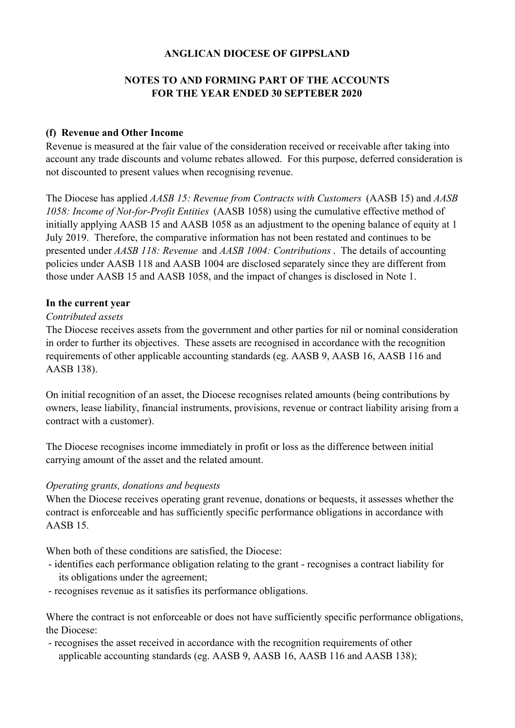### **NOTES TO AND FORMING PART OF THE ACCOUNTS FOR THE YEAR ENDED 30 SEPTEBER 2020**

#### **(f) Revenue and Other Income**

Revenue is measured at the fair value of the consideration received or receivable after taking into account any trade discounts and volume rebates allowed. For this purpose, deferred consideration is not discounted to present values when recognising revenue.

The Diocese has applied *AASB 15: Revenue from Contracts with Customers* (AASB 15) and *AASB 1058: Income of Not-for-Profit Entities* (AASB 1058) using the cumulative effective method of initially applying AASB 15 and AASB 1058 as an adjustment to the opening balance of equity at 1 July 2019. Therefore, the comparative information has not been restated and continues to be presented under *AASB 118: Revenue* and *AASB 1004: Contributions*. The details of accounting policies under AASB 118 and AASB 1004 are disclosed separately since they are different from those under AASB 15 and AASB 1058, and the impact of changes is disclosed in Note 1.

#### **In the current year**

#### *Contributed assets*

The Diocese receives assets from the government and other parties for nil or nominal consideration in order to further its objectives. These assets are recognised in accordance with the recognition requirements of other applicable accounting standards (eg. AASB 9, AASB 16, AASB 116 and AASB 138).

On initial recognition of an asset, the Diocese recognises related amounts (being contributions by owners, lease liability, financial instruments, provisions, revenue or contract liability arising from a contract with a customer).

The Diocese recognises income immediately in profit or loss as the difference between initial carrying amount of the asset and the related amount.

#### *Operating grants, donations and bequests*

When the Diocese receives operating grant revenue, donations or bequests, it assesses whether the contract is enforceable and has sufficiently specific performance obligations in accordance with AASB 15.

When both of these conditions are satisfied, the Diocese:

- its obligations under the agreement; - identifies each performance obligation relating to the grant - recognises a contract liability for
- recognises revenue as it satisfies its performance obligations.

Where the contract is not enforceable or does not have sufficiently specific performance obligations, the Diocese:

- recognises the asset received in accordance with the recognition requirements of other applicable accounting standards (eg. AASB 9, AASB 16, AASB 116 and AASB 138);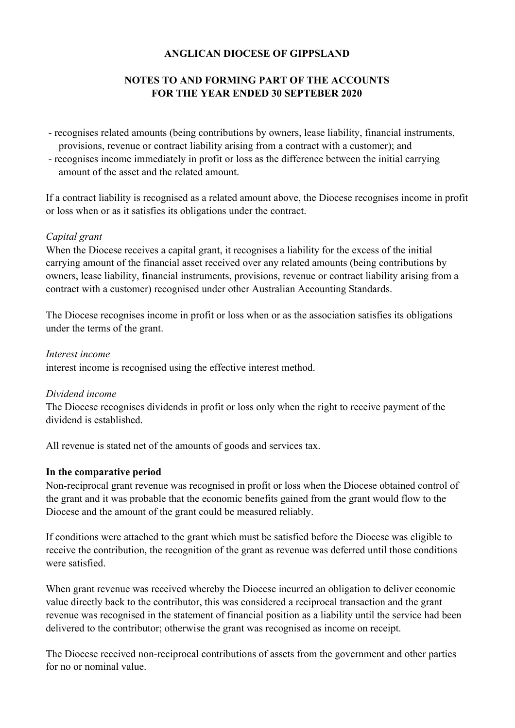### **NOTES TO AND FORMING PART OF THE ACCOUNTS FOR THE YEAR ENDED 30 SEPTEBER 2020**

- recognises related amounts (being contributions by owners, lease liability, financial instruments, provisions, revenue or contract liability arising from a contract with a customer); and
- recognises income immediately in profit or loss as the difference between the initial carrying amount of the asset and the related amount.

If a contract liability is recognised as a related amount above, the Diocese recognises income in profit or loss when or as it satisfies its obligations under the contract.

#### *Capital grant*

When the Diocese receives a capital grant, it recognises a liability for the excess of the initial carrying amount of the financial asset received over any related amounts (being contributions by owners, lease liability, financial instruments, provisions, revenue or contract liability arising from a contract with a customer) recognised under other Australian Accounting Standards.

The Diocese recognises income in profit or loss when or as the association satisfies its obligations under the terms of the grant.

#### *Interest income*

interest income is recognised using the effective interest method.

#### *Dividend income*

The Diocese recognises dividends in profit or loss only when the right to receive payment of the dividend is established.

All revenue is stated net of the amounts of goods and services tax.

#### **In the comparative period**

Non-reciprocal grant revenue was recognised in profit or loss when the Diocese obtained control of the grant and it was probable that the economic benefits gained from the grant would flow to the Diocese and the amount of the grant could be measured reliably.

If conditions were attached to the grant which must be satisfied before the Diocese was eligible to receive the contribution, the recognition of the grant as revenue was deferred until those conditions were satisfied.

When grant revenue was received whereby the Diocese incurred an obligation to deliver economic value directly back to the contributor, this was considered a reciprocal transaction and the grant revenue was recognised in the statement of financial position as a liability until the service had been delivered to the contributor; otherwise the grant was recognised as income on receipt.

The Diocese received non-reciprocal contributions of assets from the government and other parties for no or nominal value.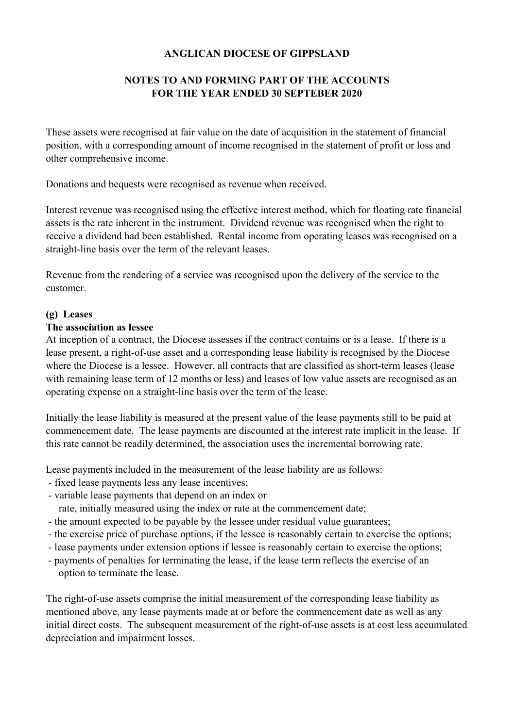### **NOTES TO AND FORMING PART OF THE ACCOUNTS FOR THE YEAR ENDED 30 SEPTEBER 2020**

These assets were recognised at fair value on the date of acquisition in the statement of financial position, with a corresponding amount of income recognised in the statement of profit or loss and other comprehensive income.

Donations and bequests were recognised as revenue when received.

Interest revenue was recognised using the effective interest method, which for floating rate financial assets is the rate inherent in the instrument. Dividend revenue was recognised when the right to receive a dividend had been established. Rental income from operating leases was recognised on a straight-line basis over the term of the relevant leases.

Revenue from the rendering of a service was recognised upon the delivery of the service to the customer.

#### **(g) Leases**

#### **The association as lessee**

At inception of a contract, the Diocese assesses if the contract contains or is a lease. If there is a lease present, a right-of-use asset and a corresponding lease liability is recognised by the Diocese where the Diocese is a lessee. However, all contracts that are classified as short-term leases (lease with remaining lease term of 12 months or less) and leases of low value assets are recognised as an operating expense on a straight-line basis over the term of the lease.

Initially the lease liability is measured at the present value of the lease payments still to be paid at commencement date. The lease payments are discounted at the interest rate implicit in the lease. If this rate cannot be readily determined, the association uses the incremental borrowing rate.

Lease payments included in the measurement of the lease liability are as follows:

- fixed lease payments less any lease incentives;
- variable lease payments that depend on an index or

rate, initially measured using the index or rate at the commencement date;

- the amount expected to be payable by the lessee under residual value guarantees;
- the exercise price of purchase options, if the lessee is reasonably certain to exercise the options;
- lease payments under extension options if lessee is reasonably certain to exercise the options;
- payments of penalties for terminating the lease, if the lease term reflects the exercise of an option to terminate the lease.

The right-of-use assets comprise the initial measurement of the corresponding lease liability as mentioned above, any lease payments made at or before the commencement date as well as any initial direct costs. The subsequent measurement of the right-of-use assets is at cost less accumulated depreciation and impairment losses.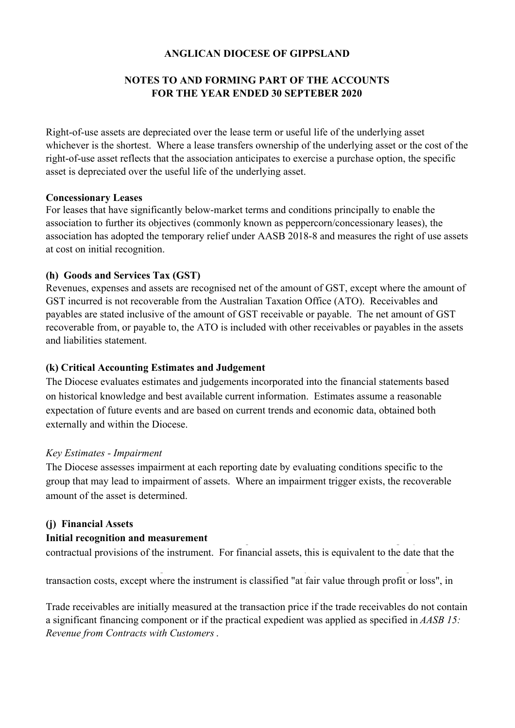### **NOTES TO AND FORMING PART OF THE ACCOUNTS FOR THE YEAR ENDED 30 SEPTEBER 2020**

Right-of-use assets are depreciated over the lease term or useful life of the underlying asset whichever is the shortest. Where a lease transfers ownership of the underlying asset or the cost of the right-of-use asset reflects that the association anticipates to exercise a purchase option, the specific asset is depreciated over the useful life of the underlying asset.

#### **Concessionary Leases**

For leases that have significantly below-market terms and conditions principally to enable the association to further its objectives (commonly known as peppercorn/concessionary leases), the association has adopted the temporary relief under AASB 2018-8 and measures the right of use assets at cost on initial recognition.

#### **(h) Goods and Services Tax (GST)**

Revenues, expenses and assets are recognised net of the amount of GST, except where the amount of GST incurred is not recoverable from the Australian Taxation Office (ATO). Receivables and payables are stated inclusive of the amount of GST receivable or payable. The net amount of GST recoverable from, or payable to, the ATO is included with other receivables or payables in the assets and liabilities statement.

#### **(k) Critical Accounting Estimates and Judgement**

The Diocese evaluates estimates and judgements incorporated into the financial statements based on historical knowledge and best available current information. Estimates assume a reasonable expectation of future events and are based on current trends and economic data, obtained both externally and within the Diocese.

#### *Key Estimates - Impairment*

The Diocese assesses impairment at each reporting date by evaluating conditions specific to the group that may lead to impairment of assets. Where an impairment trigger exists, the recoverable amount of the asset is determined.

#### **(j) Financial Assets**

#### **Initial recognition and measurement**

contractual provisions of the instrument. For financial assets, this is equivalent to the date that the

transaction costs, except where the instrument is classified "at fair value through profit or loss", in

Trade receivables are initially measured at the transaction price if the trade receivables do not contain a significant financing component or if the practical expedient was applied as specified in *AASB 15: Revenue from Contracts with Customers*.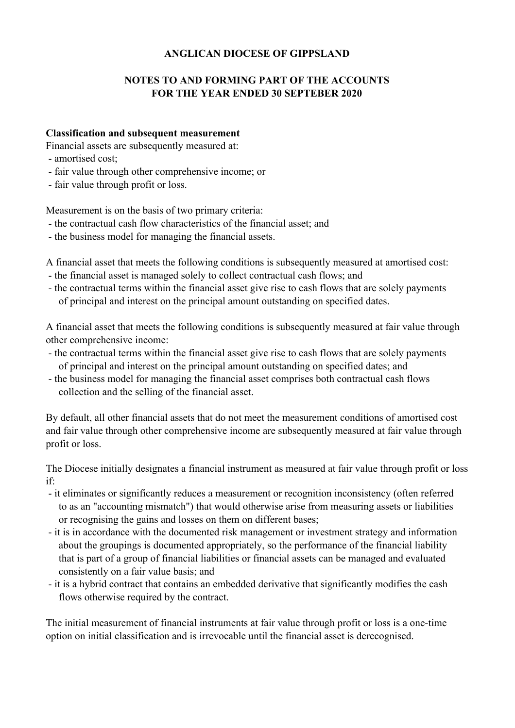### **NOTES TO AND FORMING PART OF THE ACCOUNTS FOR THE YEAR ENDED 30 SEPTEBER 2020**

#### **Classification and subsequent measurement**

Financial assets are subsequently measured at:

- amortised cost;
- fair value through other comprehensive income; or
- fair value through profit or loss.

Measurement is on the basis of two primary criteria:

- the contractual cash flow characteristics of the financial asset; and
- the business model for managing the financial assets.

A financial asset that meets the following conditions is subsequently measured at amortised cost:

- the financial asset is managed solely to collect contractual cash flows; and
- the contractual terms within the financial asset give rise to cash flows that are solely payments of principal and interest on the principal amount outstanding on specified dates.

A financial asset that meets the following conditions is subsequently measured at fair value through other comprehensive income:

- the contractual terms within the financial asset give rise to cash flows that are solely payments of principal and interest on the principal amount outstanding on specified dates; and
- the business model for managing the financial asset comprises both contractual cash flows collection and the selling of the financial asset.

By default, all other financial assets that do not meet the measurement conditions of amortised cost and fair value through other comprehensive income are subsequently measured at fair value through profit or loss.

The Diocese initially designates a financial instrument as measured at fair value through profit or loss if:

- it eliminates or significantly reduces a measurement or recognition inconsistency (often referred to as an "accounting mismatch") that would otherwise arise from measuring assets or liabilities or recognising the gains and losses on them on different bases;
- it is in accordance with the documented risk management or investment strategy and information about the groupings is documented appropriately, so the performance of the financial liability that is part of a group of financial liabilities or financial assets can be managed and evaluated consistently on a fair value basis; and
- it is a hybrid contract that contains an embedded derivative that significantly modifies the cash flows otherwise required by the contract.

The initial measurement of financial instruments at fair value through profit or loss is a one-time option on initial classification and is irrevocable until the financial asset is derecognised.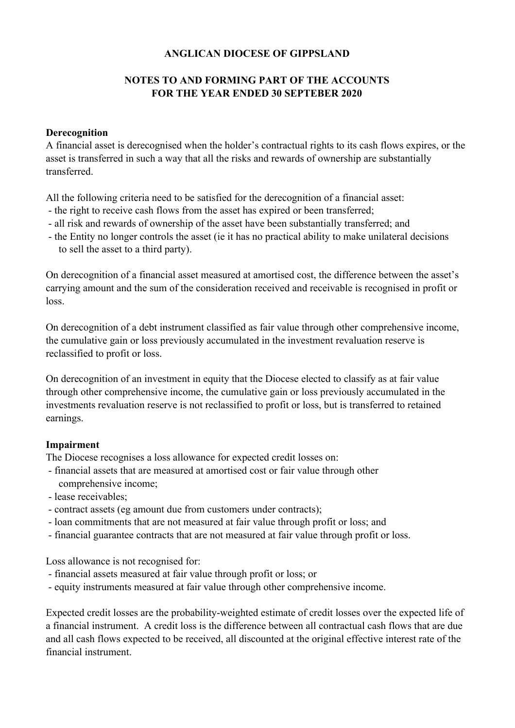### **NOTES TO AND FORMING PART OF THE ACCOUNTS FOR THE YEAR ENDED 30 SEPTEBER 2020**

#### **Derecognition**

A financial asset is derecognised when the holder's contractual rights to its cash flows expires, or the asset is transferred in such a way that all the risks and rewards of ownership are substantially transferred.

All the following criteria need to be satisfied for the derecognition of a financial asset:

- the right to receive cash flows from the asset has expired or been transferred;
- all risk and rewards of ownership of the asset have been substantially transferred; and
- the Entity no longer controls the asset (ie it has no practical ability to make unilateral decisions to sell the asset to a third party).

On derecognition of a financial asset measured at amortised cost, the difference between the asset's carrying amount and the sum of the consideration received and receivable is recognised in profit or loss.

On derecognition of a debt instrument classified as fair value through other comprehensive income, the cumulative gain or loss previously accumulated in the investment revaluation reserve is reclassified to profit or loss.

On derecognition of an investment in equity that the Diocese elected to classify as at fair value through other comprehensive income, the cumulative gain or loss previously accumulated in the investments revaluation reserve is not reclassified to profit or loss, but is transferred to retained earnings.

#### **Impairment**

The Diocese recognises a loss allowance for expected credit losses on:

- financial assets that are measured at amortised cost or fair value through other
- comprehensive income;
- lease receivables;
- contract assets (eg amount due from customers under contracts);
- loan commitments that are not measured at fair value through profit or loss; and
- financial guarantee contracts that are not measured at fair value through profit or loss.

Loss allowance is not recognised for:

- financial assets measured at fair value through profit or loss; or
- equity instruments measured at fair value through other comprehensive income.

Expected credit losses are the probability-weighted estimate of credit losses over the expected life of a financial instrument. A credit loss is the difference between all contractual cash flows that are due and all cash flows expected to be received, all discounted at the original effective interest rate of the financial instrument.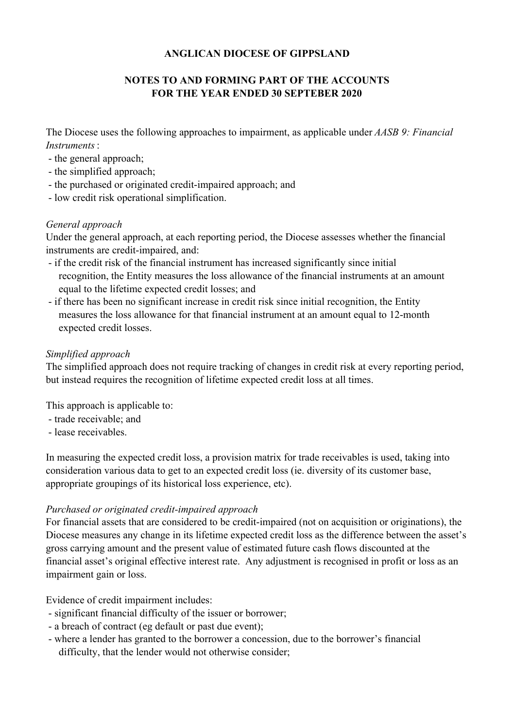### **NOTES TO AND FORMING PART OF THE ACCOUNTS FOR THE YEAR ENDED 30 SEPTEBER 2020**

The Diocese uses the following approaches to impairment, as applicable under *AASB 9: Financial Instruments*:

- the general approach;
- the simplified approach;
- the purchased or originated credit-impaired approach; and
- low credit risk operational simplification.

#### *General approach*

Under the general approach, at each reporting period, the Diocese assesses whether the financial instruments are credit-impaired, and:

- if the credit risk of the financial instrument has increased significantly since initial recognition, the Entity measures the loss allowance of the financial instruments at an amount equal to the lifetime expected credit losses; and
- if there has been no significant increase in credit risk since initial recognition, the Entity measures the loss allowance for that financial instrument at an amount equal to 12-month expected credit losses.

#### *Simplified approach*

The simplified approach does not require tracking of changes in credit risk at every reporting period, but instead requires the recognition of lifetime expected credit loss at all times.

This approach is applicable to:

- trade receivable; and
- lease receivables.

In measuring the expected credit loss, a provision matrix for trade receivables is used, taking into consideration various data to get to an expected credit loss (ie. diversity of its customer base, appropriate groupings of its historical loss experience, etc).

#### *Purchased or originated credit-impaired approach*

For financial assets that are considered to be credit-impaired (not on acquisition or originations), the Diocese measures any change in its lifetime expected credit loss as the difference between the asset's gross carrying amount and the present value of estimated future cash flows discounted at the financial asset's original effective interest rate. Any adjustment is recognised in profit or loss as an impairment gain or loss.

Evidence of credit impairment includes:

- significant financial difficulty of the issuer or borrower;
- a breach of contract (eg default or past due event);
- where a lender has granted to the borrower a concession, due to the borrower's financial difficulty, that the lender would not otherwise consider;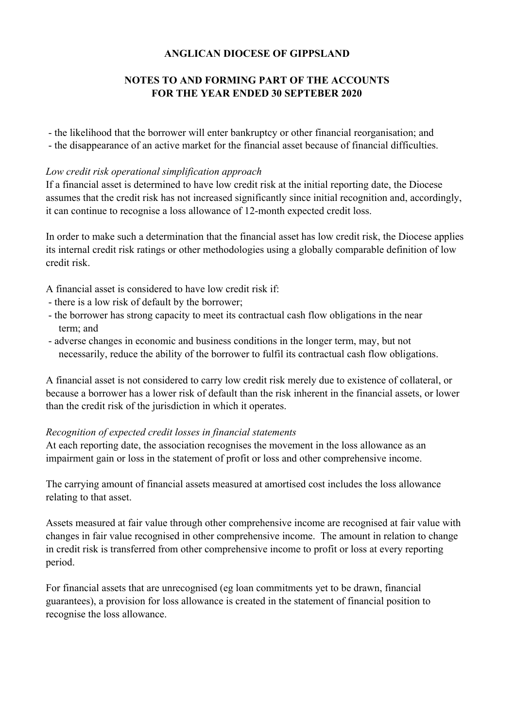### **NOTES TO AND FORMING PART OF THE ACCOUNTS FOR THE YEAR ENDED 30 SEPTEBER 2020**

- the likelihood that the borrower will enter bankruptcy or other financial reorganisation; and

- the disappearance of an active market for the financial asset because of financial difficulties.

#### *Low credit risk operational simplification approach*

If a financial asset is determined to have low credit risk at the initial reporting date, the Diocese assumes that the credit risk has not increased significantly since initial recognition and, accordingly, it can continue to recognise a loss allowance of 12-month expected credit loss.

In order to make such a determination that the financial asset has low credit risk, the Diocese applies its internal credit risk ratings or other methodologies using a globally comparable definition of low credit risk.

- A financial asset is considered to have low credit risk if:
- there is a low risk of default by the borrower;
- the borrower has strong capacity to meet its contractual cash flow obligations in the near term; and
- adverse changes in economic and business conditions in the longer term, may, but not necessarily, reduce the ability of the borrower to fulfil its contractual cash flow obligations.

A financial asset is not considered to carry low credit risk merely due to existence of collateral, or because a borrower has a lower risk of default than the risk inherent in the financial assets, or lower than the credit risk of the jurisdiction in which it operates.

#### *Recognition of expected credit losses in financial statements*

At each reporting date, the association recognises the movement in the loss allowance as an impairment gain or loss in the statement of profit or loss and other comprehensive income.

The carrying amount of financial assets measured at amortised cost includes the loss allowance relating to that asset.

Assets measured at fair value through other comprehensive income are recognised at fair value with changes in fair value recognised in other comprehensive income. The amount in relation to change in credit risk is transferred from other comprehensive income to profit or loss at every reporting period.

For financial assets that are unrecognised (eg loan commitments yet to be drawn, financial guarantees), a provision for loss allowance is created in the statement of financial position to recognise the loss allowance.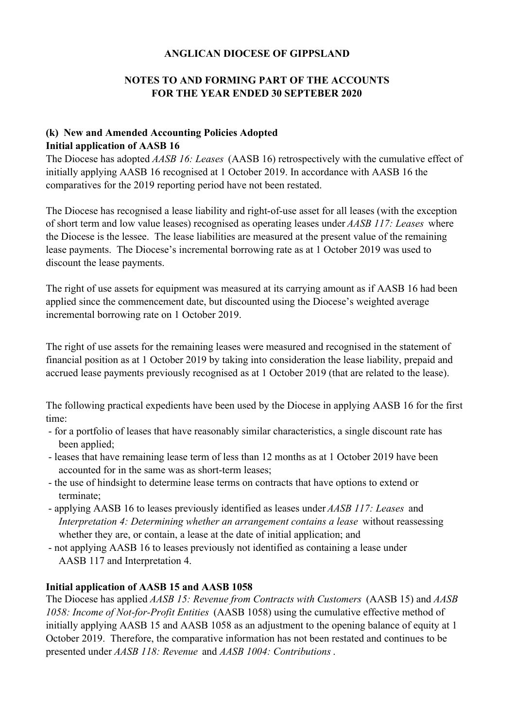### **NOTES TO AND FORMING PART OF THE ACCOUNTS FOR THE YEAR ENDED 30 SEPTEBER 2020**

#### **(k) New and Amended Accounting Policies Adopted Initial application of AASB 16**

The Diocese has adopted *AASB 16: Leases* (AASB 16) retrospectively with the cumulative effect of initially applying AASB 16 recognised at 1 October 2019. In accordance with AASB 16 the comparatives for the 2019 reporting period have not been restated.

The Diocese has recognised a lease liability and right-of-use asset for all leases (with the exception of short term and low value leases) recognised as operating leases under *AASB 117: Leases* where the Diocese is the lessee. The lease liabilities are measured at the present value of the remaining lease payments. The Diocese's incremental borrowing rate as at 1 October 2019 was used to discount the lease payments.

The right of use assets for equipment was measured at its carrying amount as if AASB 16 had been applied since the commencement date, but discounted using the Diocese's weighted average incremental borrowing rate on 1 October 2019.

The right of use assets for the remaining leases were measured and recognised in the statement of financial position as at 1 October 2019 by taking into consideration the lease liability, prepaid and accrued lease payments previously recognised as at 1 October 2019 (that are related to the lease).

The following practical expedients have been used by the Diocese in applying AASB 16 for the first time:

- for a portfolio of leases that have reasonably similar characteristics, a single discount rate has been applied:
- leases that have remaining lease term of less than 12 months as at 1 October 2019 have been accounted for in the same was as short-term leases;
- the use of hindsight to determine lease terms on contracts that have options to extend or terminate;
- applying AASB 16 to leases previously identified as leases under *AASB 117: Leases* and *Interpretation 4: Determining whether an arrangement contains a lease* without reassessing whether they are, or contain, a lease at the date of initial application; and
- not applying AASB 16 to leases previously not identified as containing a lease under AASB 117 and Interpretation 4.

#### **Initial application of AASB 15 and AASB 1058**

The Diocese has applied *AASB 15: Revenue from Contracts with Customers* (AASB 15) and *AASB 1058: Income of Not-for-Profit Entities* (AASB 1058) using the cumulative effective method of initially applying AASB 15 and AASB 1058 as an adjustment to the opening balance of equity at 1 October 2019. Therefore, the comparative information has not been restated and continues to be presented under *AASB 118: Revenue* and *AASB 1004: Contributions*.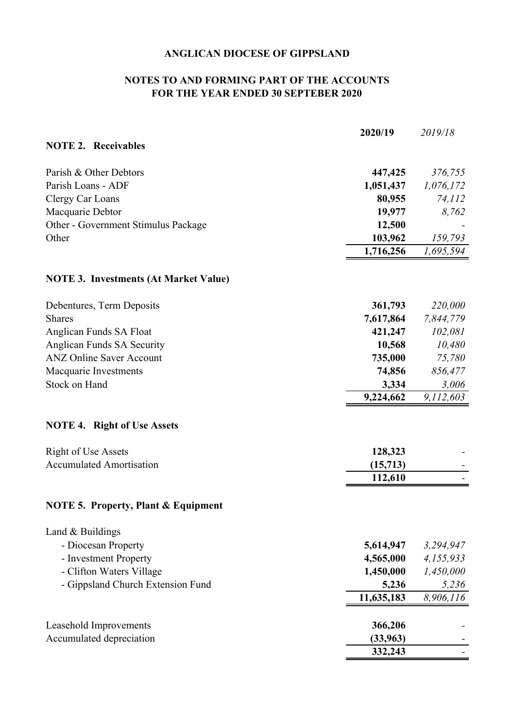### **NOTES TO AND FORMING PART OF THE ACCOUNTS FOR THE YEAR ENDED 30 SEPTEBER 2020**

|                                                | 2020/19    | 2019/18   |
|------------------------------------------------|------------|-----------|
| <b>NOTE 2. Receivables</b>                     |            |           |
| Parish & Other Debtors                         | 447,425    | 376,755   |
| Parish Loans - ADF                             | 1,051,437  | 1,076,172 |
| Clergy Car Loans                               | 80,955     | 74,112    |
| Macquarie Debtor                               | 19,977     | 8,762     |
| Other - Government Stimulus Package            | 12,500     |           |
| Other                                          | 103,962    | 159,793   |
|                                                | 1,716,256  | 1,695,594 |
| <b>NOTE 3. Investments (At Market Value)</b>   |            |           |
| Debentures, Term Deposits                      | 361,793    | 220,000   |
| <b>Shares</b>                                  | 7,617,864  | 7,844,779 |
| Anglican Funds SA Float                        | 421,247    | 102,081   |
| Anglican Funds SA Security                     | 10,568     | 10,480    |
| <b>ANZ Online Saver Account</b>                | 735,000    | 75,780    |
| Macquarie Investments                          | 74,856     | 856,477   |
| Stock on Hand                                  | 3,334      | 3,006     |
|                                                | 9,224,662  | 9,112,603 |
| <b>NOTE 4. Right of Use Assets</b>             |            |           |
| <b>Right of Use Assets</b>                     | 128,323    |           |
| <b>Accumulated Amortisation</b>                | (15,713)   |           |
|                                                | 112,610    |           |
| <b>NOTE 5. Property, Plant &amp; Equipment</b> |            |           |
| Land & Buildings                               |            |           |
| - Diocesan Property                            | 5,614,947  | 3,294,947 |
| - Investment Property                          | 4,565,000  | 4,155,933 |
| - Clifton Waters Village                       | 1,450,000  | 1,450,000 |
| - Gippsland Church Extension Fund              | 5,236      | 5,236     |
|                                                | 11,635,183 | 8,906,116 |
| Leasehold Improvements                         | 366,206    |           |
| Accumulated depreciation                       | (33,963)   |           |
|                                                | 332,243    |           |
|                                                |            |           |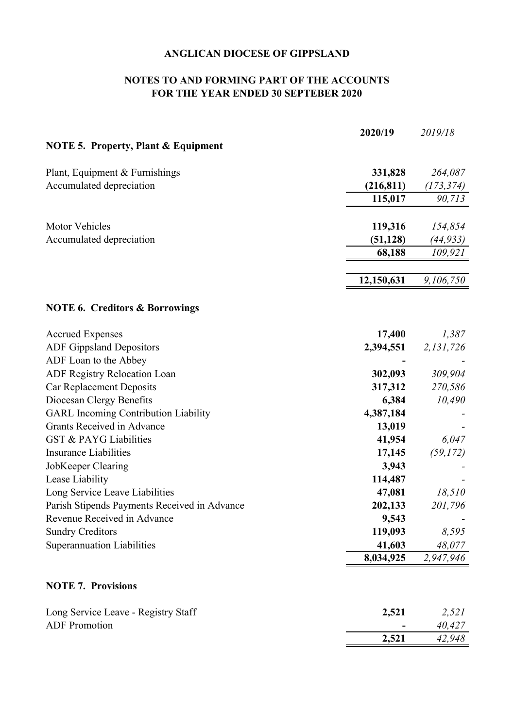### **NOTES TO AND FORMING PART OF THE ACCOUNTS FOR THE YEAR ENDED 30 SEPTEBER 2020**

|                                                | 2020/19    | 2019/18    |
|------------------------------------------------|------------|------------|
| <b>NOTE 5. Property, Plant &amp; Equipment</b> |            |            |
| Plant, Equipment & Furnishings                 | 331,828    | 264,087    |
| Accumulated depreciation                       | (216, 811) | (173, 374) |
|                                                | 115,017    | 90,713     |
|                                                |            |            |
| <b>Motor Vehicles</b>                          | 119,316    | 154,854    |
| Accumulated depreciation                       | (51, 128)  | (44, 933)  |
|                                                | 68,188     | 109,921    |
|                                                | 12,150,631 | 9,106,750  |
| <b>NOTE 6. Creditors &amp; Borrowings</b>      |            |            |
| <b>Accrued Expenses</b>                        | 17,400     | 1,387      |
| <b>ADF Gippsland Depositors</b>                | 2,394,551  | 2,131,726  |
| ADF Loan to the Abbey                          |            |            |
| ADF Registry Relocation Loan                   | 302,093    | 309,904    |
| <b>Car Replacement Deposits</b>                | 317,312    | 270,586    |
| Diocesan Clergy Benefits                       | 6,384      | 10,490     |
| <b>GARL Incoming Contribution Liability</b>    | 4,387,184  |            |
| Grants Received in Advance                     | 13,019     |            |
| <b>GST &amp; PAYG Liabilities</b>              | 41,954     | 6,047      |
| <b>Insurance Liabilities</b>                   | 17,145     | (59, 172)  |
| JobKeeper Clearing                             | 3,943      |            |
| Lease Liability                                | 114,487    |            |
| Long Service Leave Liabilities                 | 47,081     | 18,510     |
| Parish Stipends Payments Received in Advance   | 202,133    | 201,796    |
| Revenue Received in Advance                    | 9,543      |            |
| <b>Sundry Creditors</b>                        | 119,093    | 8,595      |
| <b>Superannuation Liabilities</b>              | 41,603     | 48,077     |
|                                                | 8,034,925  | 2,947,946  |
| <b>NOTE 7. Provisions</b>                      |            |            |
| Long Service Leave - Registry Staff            | 2,521      | 2,521      |
| <b>ADF</b> Promotion                           |            | 40,427     |
|                                                | 2,521      | 42,948     |
|                                                |            |            |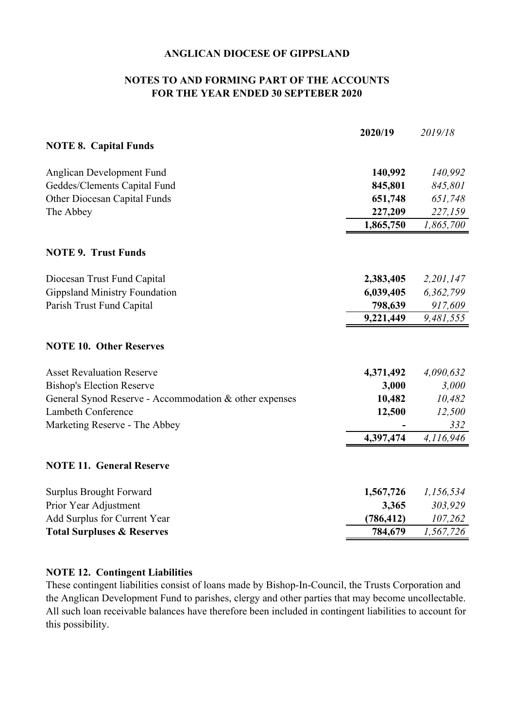#### **FOR THE YEAR ENDED 30 SEPTEBER 2020 NOTES TO AND FORMING PART OF THE ACCOUNTS**

| <b>NOTE 8. Capital Funds</b><br>140,992<br>Anglican Development Fund<br>Geddes/Clements Capital Fund<br>845,801<br><b>Other Diocesan Capital Funds</b><br>651,748<br>The Abbey<br>227,209<br>1,865,750<br><b>NOTE 9. Trust Funds</b><br>Diocesan Trust Fund Capital<br>2,383,405<br><b>Gippsland Ministry Foundation</b><br>6,039,405<br>Parish Trust Fund Capital<br>798,639<br>9,221,449<br><b>NOTE 10. Other Reserves</b><br><b>Asset Revaluation Reserve</b><br>4,371,492<br><b>Bishop's Election Reserve</b><br>3,000<br>General Synod Reserve - Accommodation & other expenses<br>10,482<br>Lambeth Conference<br>12,500<br>Marketing Reserve - The Abbey<br>4,397,474<br><b>NOTE 11. General Reserve</b><br><b>Surplus Brought Forward</b><br>1,567,726<br>Prior Year Adjustment<br>3,365<br>Add Surplus for Current Year<br>(786, 412)<br><b>Total Surpluses &amp; Reserves</b><br>784,679 | 2020/19 | 2019/18   |
|----------------------------------------------------------------------------------------------------------------------------------------------------------------------------------------------------------------------------------------------------------------------------------------------------------------------------------------------------------------------------------------------------------------------------------------------------------------------------------------------------------------------------------------------------------------------------------------------------------------------------------------------------------------------------------------------------------------------------------------------------------------------------------------------------------------------------------------------------------------------------------------------------|---------|-----------|
|                                                                                                                                                                                                                                                                                                                                                                                                                                                                                                                                                                                                                                                                                                                                                                                                                                                                                                    |         |           |
|                                                                                                                                                                                                                                                                                                                                                                                                                                                                                                                                                                                                                                                                                                                                                                                                                                                                                                    |         | 140,992   |
|                                                                                                                                                                                                                                                                                                                                                                                                                                                                                                                                                                                                                                                                                                                                                                                                                                                                                                    |         | 845,801   |
|                                                                                                                                                                                                                                                                                                                                                                                                                                                                                                                                                                                                                                                                                                                                                                                                                                                                                                    |         | 651,748   |
|                                                                                                                                                                                                                                                                                                                                                                                                                                                                                                                                                                                                                                                                                                                                                                                                                                                                                                    |         | 227,159   |
|                                                                                                                                                                                                                                                                                                                                                                                                                                                                                                                                                                                                                                                                                                                                                                                                                                                                                                    |         | 1,865,700 |
|                                                                                                                                                                                                                                                                                                                                                                                                                                                                                                                                                                                                                                                                                                                                                                                                                                                                                                    |         |           |
|                                                                                                                                                                                                                                                                                                                                                                                                                                                                                                                                                                                                                                                                                                                                                                                                                                                                                                    |         | 2,201,147 |
|                                                                                                                                                                                                                                                                                                                                                                                                                                                                                                                                                                                                                                                                                                                                                                                                                                                                                                    |         | 6,362,799 |
|                                                                                                                                                                                                                                                                                                                                                                                                                                                                                                                                                                                                                                                                                                                                                                                                                                                                                                    |         | 917,609   |
|                                                                                                                                                                                                                                                                                                                                                                                                                                                                                                                                                                                                                                                                                                                                                                                                                                                                                                    |         | 9,481,555 |
|                                                                                                                                                                                                                                                                                                                                                                                                                                                                                                                                                                                                                                                                                                                                                                                                                                                                                                    |         |           |
|                                                                                                                                                                                                                                                                                                                                                                                                                                                                                                                                                                                                                                                                                                                                                                                                                                                                                                    |         | 4,090,632 |
|                                                                                                                                                                                                                                                                                                                                                                                                                                                                                                                                                                                                                                                                                                                                                                                                                                                                                                    |         | 3,000     |
|                                                                                                                                                                                                                                                                                                                                                                                                                                                                                                                                                                                                                                                                                                                                                                                                                                                                                                    |         | 10,482    |
|                                                                                                                                                                                                                                                                                                                                                                                                                                                                                                                                                                                                                                                                                                                                                                                                                                                                                                    |         | 12,500    |
|                                                                                                                                                                                                                                                                                                                                                                                                                                                                                                                                                                                                                                                                                                                                                                                                                                                                                                    |         | 332       |
|                                                                                                                                                                                                                                                                                                                                                                                                                                                                                                                                                                                                                                                                                                                                                                                                                                                                                                    |         | 4,116,946 |
|                                                                                                                                                                                                                                                                                                                                                                                                                                                                                                                                                                                                                                                                                                                                                                                                                                                                                                    |         |           |
|                                                                                                                                                                                                                                                                                                                                                                                                                                                                                                                                                                                                                                                                                                                                                                                                                                                                                                    |         | 1,156,534 |
|                                                                                                                                                                                                                                                                                                                                                                                                                                                                                                                                                                                                                                                                                                                                                                                                                                                                                                    |         | 303,929   |
|                                                                                                                                                                                                                                                                                                                                                                                                                                                                                                                                                                                                                                                                                                                                                                                                                                                                                                    |         | 107,262   |
|                                                                                                                                                                                                                                                                                                                                                                                                                                                                                                                                                                                                                                                                                                                                                                                                                                                                                                    |         | 1,567,726 |

#### **NOTE 12. Contingent Liabilities**

These contingent liabilities consist of loans made by Bishop-In-Council, the Trusts Corporation and the Anglican Development Fund to parishes, clergy and other parties that may become uncollectable. All such loan receivable balances have therefore been included in contingent liabilities to account for this possibility.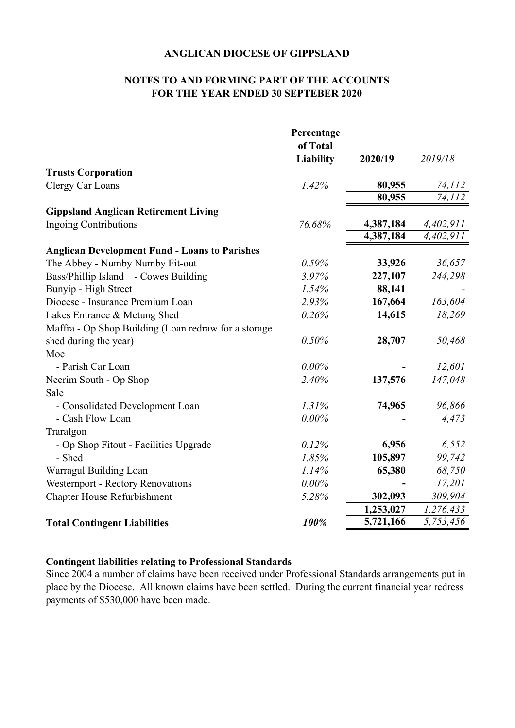#### **NOTES TO AND FORMING PART OF THE ACCOUNTS FOR THE YEAR ENDED 30 SEPTEBER 2020**

|                                                      | Percentage |           |           |
|------------------------------------------------------|------------|-----------|-----------|
|                                                      | of Total   |           |           |
|                                                      | Liability  | 2020/19   | 2019/18   |
| <b>Trusts Corporation</b>                            |            |           |           |
| Clergy Car Loans                                     | 1.42%      | 80,955    | 74,112    |
|                                                      |            | 80,955    | 74, 112   |
| <b>Gippsland Anglican Retirement Living</b>          |            |           |           |
| <b>Ingoing Contributions</b>                         | 76.68%     | 4,387,184 | 4,402,911 |
|                                                      |            | 4,387,184 | 4,402,911 |
| <b>Anglican Development Fund - Loans to Parishes</b> |            |           |           |
| The Abbey - Numby Numby Fit-out                      | 0.59%      | 33,926    | 36,657    |
| Bass/Phillip Island - Cowes Building                 | 3.97%      | 227,107   | 244,298   |
| Bunyip - High Street                                 | 1.54%      | 88,141    |           |
| Diocese - Insurance Premium Loan                     | 2.93%      | 167,664   | 163,604   |
| Lakes Entrance & Metung Shed                         | 0.26%      | 14,615    | 18,269    |
| Maffra - Op Shop Building (Loan redraw for a storage |            |           |           |
| shed during the year)                                | 0.50%      | 28,707    | 50,468    |
| Moe                                                  |            |           |           |
| - Parish Car Loan                                    | $0.00\%$   |           | 12,601    |
| Neerim South - Op Shop                               | 2.40%      | 137,576   | 147,048   |
| Sale                                                 |            |           |           |
| - Consolidated Development Loan                      | 1.31%      | 74,965    | 96,866    |
| - Cash Flow Loan                                     | $0.00\%$   |           | 4,473     |
| Traralgon                                            |            |           |           |
| - Op Shop Fitout - Facilities Upgrade                | 0.12%      | 6,956     | 6,552     |
| - Shed                                               | 1.85%      | 105,897   | 99,742    |
| Warragul Building Loan                               | 1.14%      | 65,380    | 68,750    |
| Westernport - Rectory Renovations                    | 0.00%      |           | 17,201    |
| <b>Chapter House Refurbishment</b>                   | 5.28%      | 302,093   | 309,904   |
|                                                      |            | 1,253,027 | 1,276,433 |
| <b>Total Contingent Liabilities</b>                  | 100%       | 5,721,166 | 5,753,456 |

#### **Contingent liabilities relating to Professional Standards**

Since 2004 a number of claims have been received under Professional Standards arrangements put in place by the Diocese. All known claims have been settled. During the current financial year redress payments of \$530,000 have been made.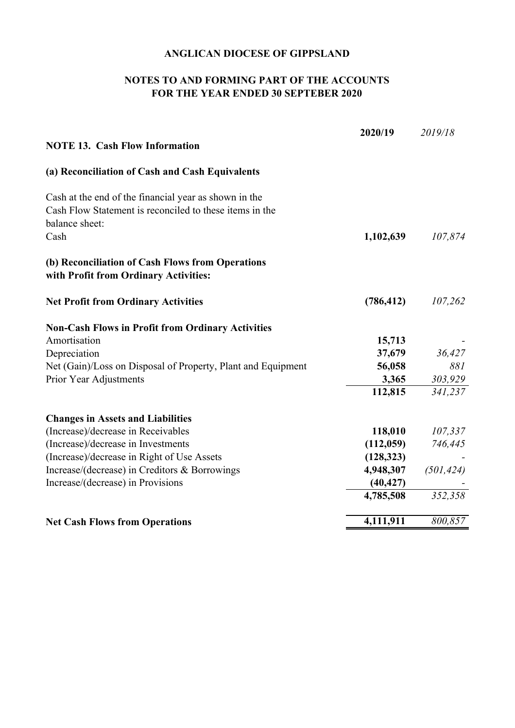### **NOTES TO AND FORMING PART OF THE ACCOUNTS FOR THE YEAR ENDED 30 SEPTEBER 2020**

|                                                                                                                                    | 2020/19    | 2019/18    |
|------------------------------------------------------------------------------------------------------------------------------------|------------|------------|
| <b>NOTE 13. Cash Flow Information</b>                                                                                              |            |            |
| (a) Reconciliation of Cash and Cash Equivalents                                                                                    |            |            |
| Cash at the end of the financial year as shown in the<br>Cash Flow Statement is reconciled to these items in the<br>balance sheet: |            |            |
| Cash                                                                                                                               | 1,102,639  | 107,874    |
| (b) Reconciliation of Cash Flows from Operations<br>with Profit from Ordinary Activities:                                          |            |            |
| <b>Net Profit from Ordinary Activities</b>                                                                                         | (786, 412) | 107,262    |
| <b>Non-Cash Flows in Profit from Ordinary Activities</b>                                                                           |            |            |
| Amortisation                                                                                                                       | 15,713     |            |
| Depreciation                                                                                                                       | 37,679     | 36,427     |
| Net (Gain)/Loss on Disposal of Property, Plant and Equipment                                                                       | 56,058     | 881        |
| Prior Year Adjustments                                                                                                             | 3,365      | 303,929    |
|                                                                                                                                    | 112,815    | 341,237    |
| <b>Changes in Assets and Liabilities</b>                                                                                           |            |            |
| (Increase)/decrease in Receivables                                                                                                 | 118,010    | 107,337    |
| (Increase)/decrease in Investments                                                                                                 | (112,059)  | 746,445    |
| (Increase)/decrease in Right of Use Assets                                                                                         | (128, 323) |            |
| Increase/(decrease) in Creditors & Borrowings                                                                                      | 4,948,307  | (501, 424) |
| Increase/(decrease) in Provisions                                                                                                  | (40, 427)  |            |
|                                                                                                                                    | 4,785,508  | 352,358    |
| <b>Net Cash Flows from Operations</b>                                                                                              | 4,111,911  | 800,857    |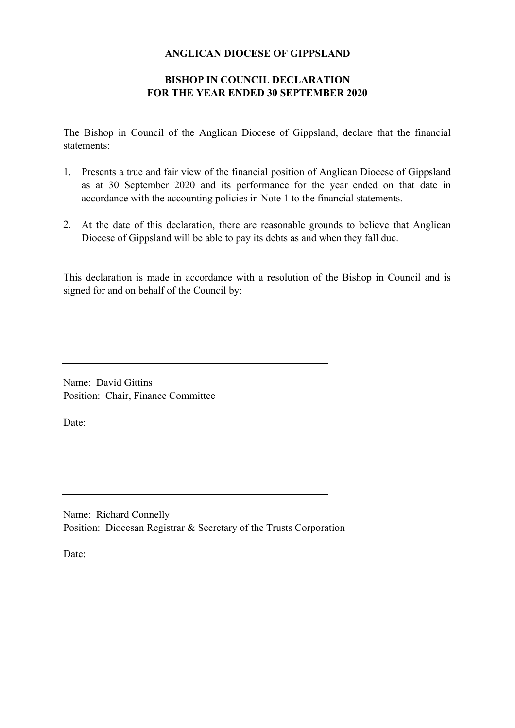#### **BISHOP IN COUNCIL DECLARATION FOR THE YEAR ENDED 30 SEPTEMBER 2020**

The Bishop in Council of the Anglican Diocese of Gippsland, declare that the financial statements:

- 1. Presents a true and fair view of the financial position of Anglican Diocese of Gippsland as at 30 September 2020 and its performance for the year ended on that date in accordance with the accounting policies in Note 1 to the financial statements.
- 2. At the date of this declaration, there are reasonable grounds to believe that Anglican Diocese of Gippsland will be able to pay its debts as and when they fall due.

This declaration is made in accordance with a resolution of the Bishop in Council and is signed for and on behalf of the Council by:

Name: David Gittins Position: Chair, Finance Committee

Date:

Name: Richard Connelly Position: Diocesan Registrar & Secretary of the Trusts Corporation

Date: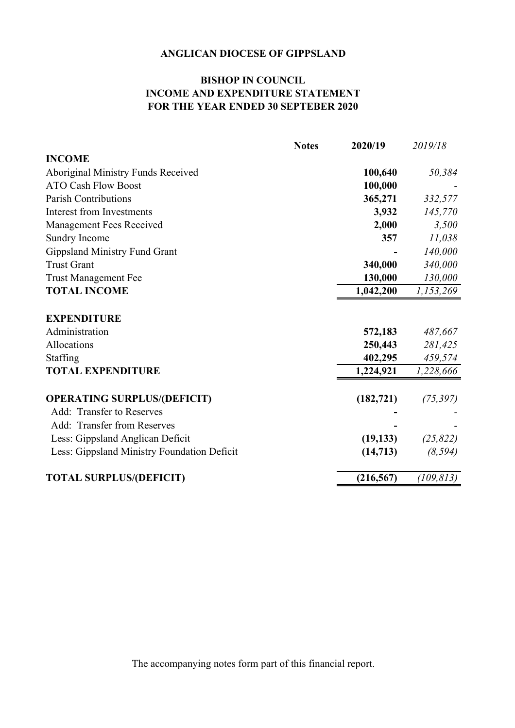### **BISHOP IN COUNCIL INCOME AND EXPENDITURE STATEMENT FOR THE YEAR ENDED 30 SEPTEBER 2020**

| <b>Notes</b>                                | 2020/19    | 2019/18    |
|---------------------------------------------|------------|------------|
| <b>INCOME</b>                               |            |            |
| Aboriginal Ministry Funds Received          | 100,640    | 50,384     |
| <b>ATO Cash Flow Boost</b>                  | 100,000    |            |
| Parish Contributions                        | 365,271    | 332,577    |
| Interest from Investments                   | 3,932      | 145,770    |
| Management Fees Received                    | 2,000      | 3,500      |
| Sundry Income                               | 357        | 11,038     |
| <b>Gippsland Ministry Fund Grant</b>        |            | 140,000    |
| <b>Trust Grant</b>                          | 340,000    | 340,000    |
| <b>Trust Management Fee</b>                 | 130,000    | 130,000    |
| <b>TOTAL INCOME</b>                         | 1,042,200  | 1,153,269  |
| <b>EXPENDITURE</b>                          |            |            |
| Administration                              | 572,183    | 487,667    |
| Allocations                                 | 250,443    | 281,425    |
| Staffing                                    | 402,295    | 459,574    |
| <b>TOTAL EXPENDITURE</b>                    | 1,224,921  | 1,228,666  |
| <b>OPERATING SURPLUS/(DEFICIT)</b>          | (182, 721) | (75, 397)  |
| Add: Transfer to Reserves                   |            |            |
| Add: Transfer from Reserves                 |            |            |
| Less: Gippsland Anglican Deficit            | (19, 133)  | (25, 822)  |
| Less: Gippsland Ministry Foundation Deficit | (14, 713)  | (8, 594)   |
| <b>TOTAL SURPLUS/(DEFICIT)</b>              | (216, 567) | (109, 813) |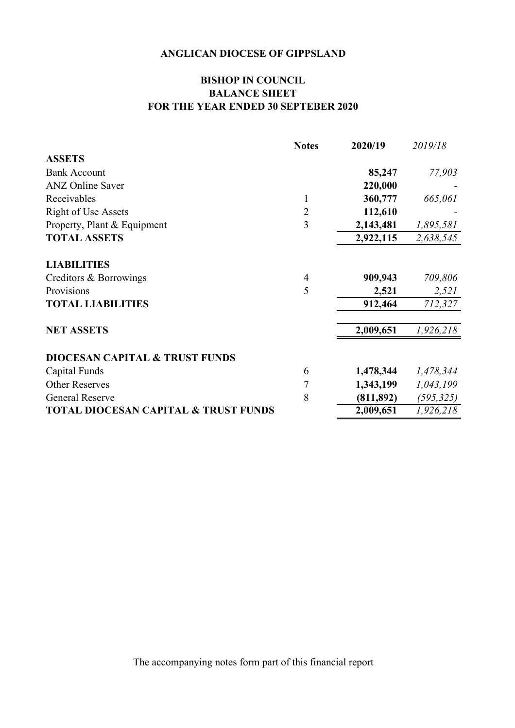### **BISHOP IN COUNCIL BALANCE SHEET FOR THE YEAR ENDED 30 SEPTEBER 2020**

|                                                 | <b>Notes</b>   | 2020/19    | 2019/18    |
|-------------------------------------------------|----------------|------------|------------|
| <b>ASSETS</b>                                   |                |            |            |
| <b>Bank Account</b>                             |                | 85,247     | 77,903     |
| <b>ANZ</b> Online Saver                         |                | 220,000    |            |
| Receivables                                     | $\mathbf{1}$   | 360,777    | 665,061    |
| <b>Right of Use Assets</b>                      | $\overline{2}$ | 112,610    |            |
| Property, Plant & Equipment                     | 3              | 2,143,481  | 1,895,581  |
| <b>TOTAL ASSETS</b>                             |                | 2,922,115  | 2,638,545  |
| <b>LIABILITIES</b>                              |                |            |            |
| Creditors & Borrowings                          | $\overline{4}$ | 909,943    | 709,806    |
| Provisions                                      | 5              | 2,521      | 2,521      |
| <b>TOTAL LIABILITIES</b>                        |                | 912,464    | 712,327    |
| <b>NET ASSETS</b>                               |                | 2,009,651  | 1,926,218  |
| <b>DIOCESAN CAPITAL &amp; TRUST FUNDS</b>       |                |            |            |
| Capital Funds                                   | 6              | 1,478,344  | 1,478,344  |
| <b>Other Reserves</b>                           | $\overline{7}$ | 1,343,199  | 1,043,199  |
| <b>General Reserve</b>                          | 8              | (811, 892) | (595, 325) |
| <b>TOTAL DIOCESAN CAPITAL &amp; TRUST FUNDS</b> |                | 2,009,651  | 1,926,218  |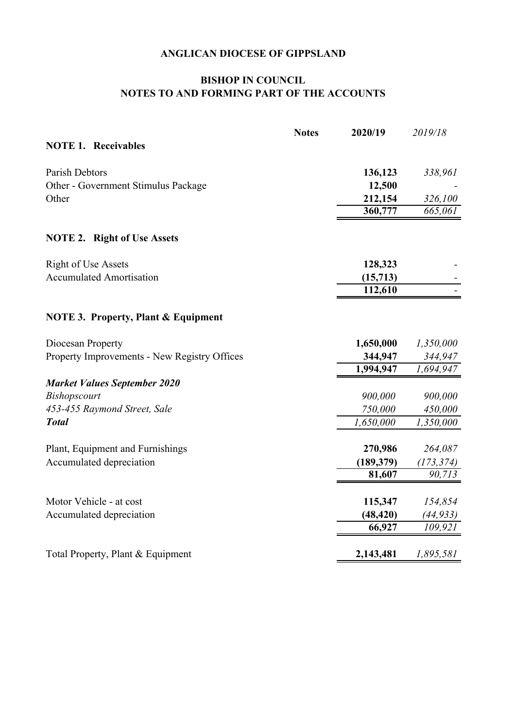### **BISHOP IN COUNCIL NOTES TO AND FORMING PART OF THE ACCOUNTS**

| <b>Notes</b> | 2020/19   | 2019/18                                       |
|--------------|-----------|-----------------------------------------------|
|              |           |                                               |
|              | 136,123   | 338,961                                       |
|              | 12,500    |                                               |
|              | 212,154   | 326,100                                       |
|              | 360,777   | 665,061                                       |
|              |           |                                               |
|              | 128,323   |                                               |
|              | (15, 713) |                                               |
|              | 112,610   |                                               |
|              |           |                                               |
|              | 1,650,000 | 1,350,000                                     |
|              | 344,947   | 344,947                                       |
|              | 1,994,947 | 1,694,947                                     |
|              |           |                                               |
|              | 900,000   | 900,000                                       |
|              | 750,000   | 450,000                                       |
|              | 1,650,000 | 1,350,000                                     |
|              |           | 264,087                                       |
|              |           | (173, 374)                                    |
|              | 81,607    | 90,713                                        |
|              |           | 154,854                                       |
|              |           | (44, 933)                                     |
|              | 66,927    | 109,921                                       |
|              | 2,143,481 | 1,895,581                                     |
|              |           | 270,986<br>(189, 379)<br>115,347<br>(48, 420) |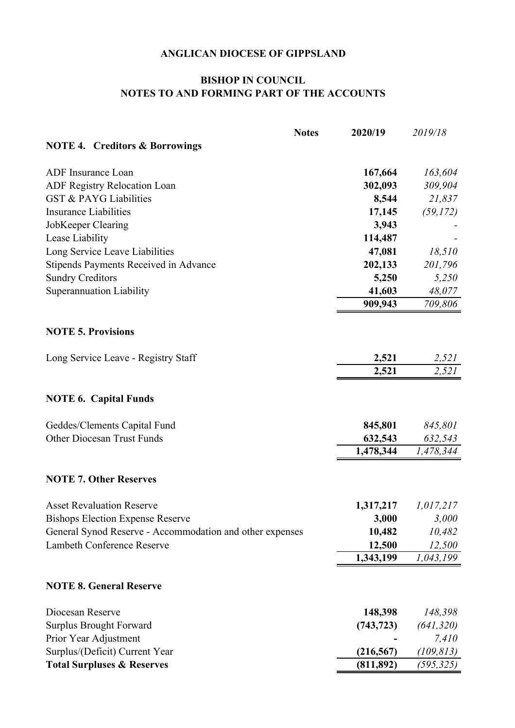### **NOTES TO AND FORMING PART OF THE ACCOUNTS BISHOP IN COUNCIL**

|                                                          | <b>Notes</b> | 2020/19    | 2019/18    |
|----------------------------------------------------------|--------------|------------|------------|
| <b>NOTE 4. Creditors &amp; Borrowings</b>                |              |            |            |
| ADF Insurance Loan                                       |              | 167,664    | 163,604    |
| <b>ADF Registry Relocation Loan</b>                      |              | 302,093    | 309,904    |
| <b>GST &amp; PAYG Liabilities</b>                        |              | 8,544      | 21,837     |
| <b>Insurance Liabilities</b>                             |              | 17,145     | (59, 172)  |
| JobKeeper Clearing                                       |              | 3,943      |            |
| Lease Liability                                          |              | 114,487    |            |
| Long Service Leave Liabilities                           |              | 47,081     | 18,510     |
| Stipends Payments Received in Advance                    |              | 202,133    | 201,796    |
| <b>Sundry Creditors</b>                                  |              | 5,250      | 5,250      |
| <b>Superannuation Liability</b>                          |              | 41,603     | 48,077     |
|                                                          |              | 909,943    | 709,806    |
| <b>NOTE 5. Provisions</b>                                |              |            |            |
| Long Service Leave - Registry Staff                      |              | 2,521      | 2,521      |
|                                                          |              | 2,521      | 2,521      |
| <b>NOTE 6. Capital Funds</b>                             |              |            |            |
| Geddes/Clements Capital Fund                             |              | 845,801    | 845,801    |
| <b>Other Diocesan Trust Funds</b>                        |              | 632,543    | 632,543    |
|                                                          |              | 1,478,344  | 1,478,344  |
| <b>NOTE 7. Other Reserves</b>                            |              |            |            |
| <b>Asset Revaluation Reserve</b>                         |              | 1,317,217  | 1,017,217  |
| <b>Bishops Election Expense Reserve</b>                  |              | 3,000      | 3,000      |
| General Synod Reserve - Accommodation and other expenses |              | 10,482     | 10,482     |
| Lambeth Conference Reserve                               |              | 12,500     | 12,500     |
|                                                          |              | 1,343,199  | 1,043,199  |
| <b>NOTE 8. General Reserve</b>                           |              |            |            |
| Diocesan Reserve                                         |              | 148,398    | 148,398    |
| <b>Surplus Brought Forward</b>                           |              | (743, 723) | (641, 320) |
| Prior Year Adjustment                                    |              |            | 7,410      |
| Surplus/(Deficit) Current Year                           |              | (216, 567) | (109, 813) |
| <b>Total Surpluses &amp; Reserves</b>                    |              | (811, 892) | (595, 325) |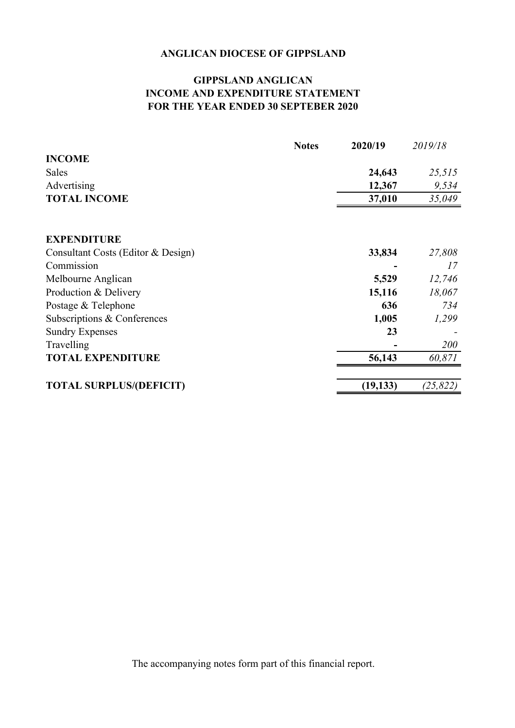### **GIPPSLAND ANGLICAN INCOME AND EXPENDITURE STATEMENT FOR THE YEAR ENDED 30 SEPTEBER 2020**

|                                    | <b>Notes</b> | 2020/19   | 2019/18   |
|------------------------------------|--------------|-----------|-----------|
| <b>INCOME</b>                      |              |           |           |
| Sales                              |              | 24,643    | 25,515    |
| Advertising                        |              | 12,367    | 9,534     |
| <b>TOTAL INCOME</b>                |              | 37,010    | 35,049    |
|                                    |              |           |           |
| <b>EXPENDITURE</b>                 |              |           |           |
| Consultant Costs (Editor & Design) |              | 33,834    | 27,808    |
| Commission                         |              |           | 17        |
| Melbourne Anglican                 |              | 5,529     | 12,746    |
| Production & Delivery              |              | 15,116    | 18,067    |
| Postage & Telephone                |              | 636       | 734       |
| Subscriptions & Conferences        |              | 1,005     | 1,299     |
| <b>Sundry Expenses</b>             |              | 23        |           |
| Travelling                         |              |           | 200       |
| <b>TOTAL EXPENDITURE</b>           |              | 56,143    | 60,871    |
| <b>TOTAL SURPLUS/(DEFICIT)</b>     |              | (19, 133) | (25, 822) |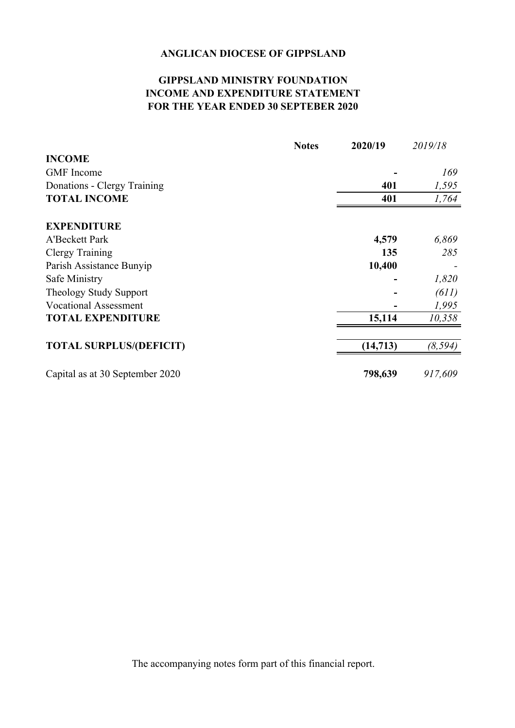### **GIPPSLAND MINISTRY FOUNDATION INCOME AND EXPENDITURE STATEMENT FOR THE YEAR ENDED 30 SEPTEBER 2020**

|                                 | <b>Notes</b> | 2020/19   | 2019/18  |
|---------------------------------|--------------|-----------|----------|
| <b>INCOME</b>                   |              |           |          |
| <b>GMF</b> Income               |              |           | 169      |
| Donations - Clergy Training     |              | 401       | 1,595    |
| <b>TOTAL INCOME</b>             |              | 401       | 1,764    |
| <b>EXPENDITURE</b>              |              |           |          |
| <b>A'Beckett Park</b>           |              | 4,579     | 6,869    |
| Clergy Training                 |              | 135       | 285      |
| Parish Assistance Bunyip        |              | 10,400    |          |
| Safe Ministry                   |              |           | 1,820    |
| Theology Study Support          |              |           | (611)    |
| <b>Vocational Assessment</b>    |              |           | 1,995    |
| <b>TOTAL EXPENDITURE</b>        |              | 15,114    | 10,358   |
|                                 |              |           |          |
| <b>TOTAL SURPLUS/(DEFICIT)</b>  |              | (14, 713) | (8, 594) |
| Capital as at 30 September 2020 |              | 798,639   | 917,609  |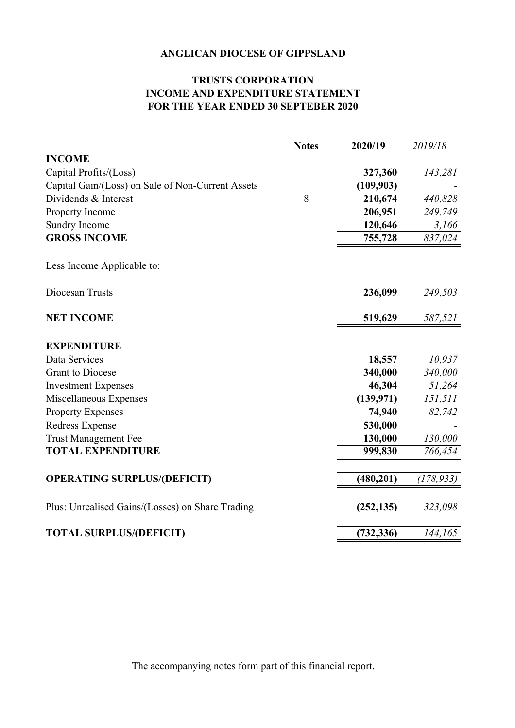### **TRUSTS CORPORATION INCOME AND EXPENDITURE STATEMENT FOR THE YEAR ENDED 30 SEPTEBER 2020**

|                                                   | <b>Notes</b> | 2020/19    | 2019/18    |
|---------------------------------------------------|--------------|------------|------------|
| <b>INCOME</b>                                     |              |            |            |
| Capital Profits/(Loss)                            |              | 327,360    | 143,281    |
| Capital Gain/(Loss) on Sale of Non-Current Assets |              | (109, 903) |            |
| Dividends & Interest                              | 8            | 210,674    | 440,828    |
| Property Income                                   |              | 206,951    | 249,749    |
| Sundry Income                                     |              | 120,646    | 3,166      |
| <b>GROSS INCOME</b>                               |              | 755,728    | 837,024    |
| Less Income Applicable to:                        |              |            |            |
| Diocesan Trusts                                   |              | 236,099    | 249,503    |
| <b>NET INCOME</b>                                 |              | 519,629    | 587,521    |
| <b>EXPENDITURE</b>                                |              |            |            |
| Data Services                                     |              | 18,557     | 10,937     |
| <b>Grant</b> to Diocese                           |              | 340,000    | 340,000    |
| <b>Investment Expenses</b>                        |              | 46,304     | 51,264     |
| Miscellaneous Expenses                            |              | (139, 971) | 151,511    |
| <b>Property Expenses</b>                          |              | 74,940     | 82,742     |
| Redress Expense                                   |              | 530,000    |            |
| <b>Trust Management Fee</b>                       |              | 130,000    | 130,000    |
| <b>TOTAL EXPENDITURE</b>                          |              | 999,830    | 766,454    |
|                                                   |              |            |            |
| <b>OPERATING SURPLUS/(DEFICIT)</b>                |              | (480, 201) | (178, 933) |
| Plus: Unrealised Gains/(Losses) on Share Trading  |              | (252, 135) | 323,098    |
| <b>TOTAL SURPLUS/(DEFICIT)</b>                    |              | (732, 336) | 144,165    |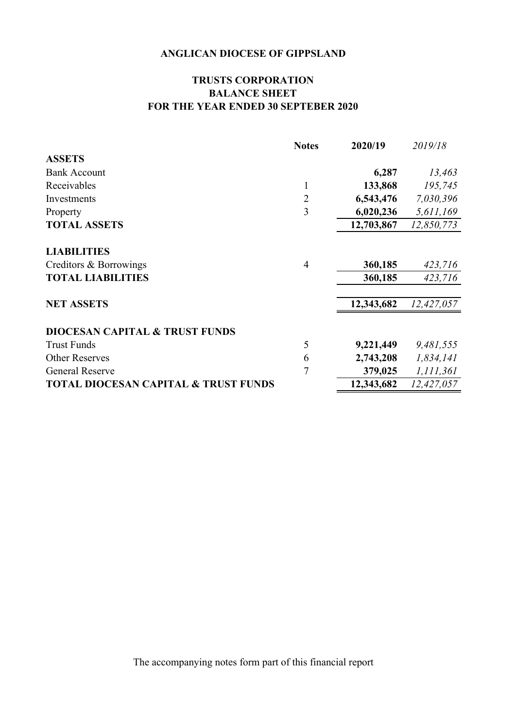### **TRUSTS CORPORATION BALANCE SHEET FOR THE YEAR ENDED 30 SEPTEBER 2020**

|                                                 | <b>Notes</b>   | 2020/19    | 2019/18    |
|-------------------------------------------------|----------------|------------|------------|
| <b>ASSETS</b>                                   |                |            |            |
| <b>Bank Account</b>                             |                | 6,287      | 13,463     |
| Receivables                                     | 1              | 133,868    | 195,745    |
| Investments                                     | $\overline{c}$ | 6,543,476  | 7,030,396  |
| Property                                        | 3              | 6,020,236  | 5,611,169  |
| <b>TOTAL ASSETS</b>                             |                | 12,703,867 | 12,850,773 |
| <b>LIABILITIES</b>                              |                |            |            |
| Creditors & Borrowings                          | $\overline{4}$ | 360,185    | 423,716    |
| <b>TOTAL LIABILITIES</b>                        |                | 360,185    | 423,716    |
| <b>NET ASSETS</b>                               |                | 12,343,682 | 12,427,057 |
| <b>DIOCESAN CAPITAL &amp; TRUST FUNDS</b>       |                |            |            |
| <b>Trust Funds</b>                              | 5              | 9,221,449  | 9,481,555  |
| <b>Other Reserves</b>                           | 6              | 2,743,208  | 1,834,141  |
| <b>General Reserve</b>                          | $\overline{7}$ | 379,025    | 1,111,361  |
| <b>TOTAL DIOCESAN CAPITAL &amp; TRUST FUNDS</b> |                | 12,343,682 | 12,427,057 |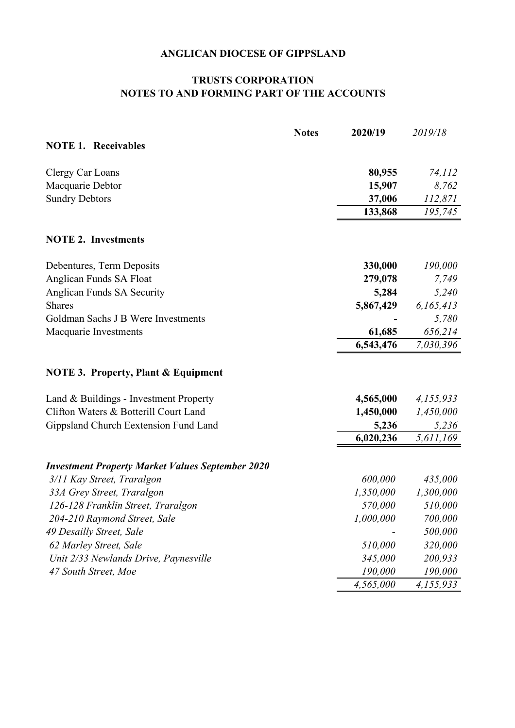### **NOTES TO AND FORMING PART OF THE ACCOUNTS TRUSTS CORPORATION**

|                                                         | <b>Notes</b> | 2020/19   | 2019/18   |
|---------------------------------------------------------|--------------|-----------|-----------|
| <b>NOTE 1. Receivables</b>                              |              |           |           |
| Clergy Car Loans                                        |              | 80,955    | 74,112    |
| Macquarie Debtor                                        |              | 15,907    | 8,762     |
| <b>Sundry Debtors</b>                                   |              | 37,006    | 112,871   |
|                                                         |              | 133,868   | 195,745   |
| <b>NOTE 2. Investments</b>                              |              |           |           |
| Debentures, Term Deposits                               |              | 330,000   | 190,000   |
| Anglican Funds SA Float                                 |              | 279,078   | 7,749     |
| Anglican Funds SA Security                              |              | 5,284     | 5,240     |
| <b>Shares</b>                                           |              | 5,867,429 | 6,165,413 |
| Goldman Sachs J B Were Investments                      |              |           | 5,780     |
| Macquarie Investments                                   |              | 61,685    | 656,214   |
|                                                         |              | 6,543,476 | 7,030,396 |
| <b>NOTE 3. Property, Plant &amp; Equipment</b>          |              |           |           |
| Land & Buildings - Investment Property                  |              | 4,565,000 | 4,155,933 |
| Clifton Waters & Botterill Court Land                   |              | 1,450,000 | 1,450,000 |
| Gippsland Church Eextension Fund Land                   |              | 5,236     | 5,236     |
|                                                         |              | 6,020,236 | 5,611,169 |
| <b>Investment Property Market Values September 2020</b> |              |           |           |
| 3/11 Kay Street, Traralgon                              |              | 600,000   | 435,000   |
| 33A Grey Street, Traralgon                              |              | 1,350,000 | 1,300,000 |
| 126-128 Franklin Street, Traralgon                      |              | 570,000   | 510,000   |
| 204-210 Raymond Street, Sale                            |              | 1,000,000 | 700,000   |
| 49 Desailly Street, Sale                                |              |           | 500,000   |
| 62 Marley Street, Sale                                  |              | 510,000   | 320,000   |
| Unit 2/33 Newlands Drive, Paynesville                   |              | 345,000   | 200,933   |
| 47 South Street, Moe                                    |              | 190,000   | 190,000   |
|                                                         |              | 4,565,000 | 4,155,933 |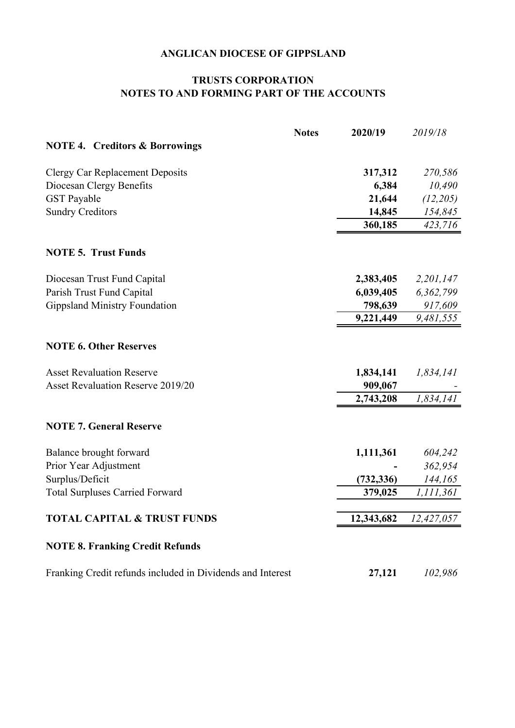### **TRUSTS CORPORATION NOTES TO AND FORMING PART OF THE ACCOUNTS**

|                                                            | <b>Notes</b> | 2020/19    | 2019/18    |
|------------------------------------------------------------|--------------|------------|------------|
| <b>NOTE 4. Creditors &amp; Borrowings</b>                  |              |            |            |
| <b>Clergy Car Replacement Deposits</b>                     |              | 317,312    | 270,586    |
| Diocesan Clergy Benefits                                   |              | 6,384      | 10,490     |
| <b>GST</b> Payable                                         |              | 21,644     | (12, 205)  |
| <b>Sundry Creditors</b>                                    |              | 14,845     | 154,845    |
|                                                            |              | 360,185    | 423,716    |
| <b>NOTE 5. Trust Funds</b>                                 |              |            |            |
| Diocesan Trust Fund Capital                                |              | 2,383,405  | 2,201,147  |
| Parish Trust Fund Capital                                  |              | 6,039,405  | 6,362,799  |
| <b>Gippsland Ministry Foundation</b>                       |              | 798,639    | 917,609    |
|                                                            |              | 9,221,449  | 9,481,555  |
| <b>NOTE 6. Other Reserves</b>                              |              |            |            |
| <b>Asset Revaluation Reserve</b>                           |              | 1,834,141  | 1,834,141  |
| <b>Asset Revaluation Reserve 2019/20</b>                   |              | 909,067    |            |
|                                                            |              | 2,743,208  | 1,834,141  |
| <b>NOTE 7. General Reserve</b>                             |              |            |            |
| Balance brought forward                                    |              | 1,111,361  | 604,242    |
| Prior Year Adjustment                                      |              |            | 362,954    |
| Surplus/Deficit                                            |              | (732, 336) | 144,165    |
| <b>Total Surpluses Carried Forward</b>                     |              | 379,025    | 1,111,361  |
| <b>TOTAL CAPITAL &amp; TRUST FUNDS</b>                     |              | 12,343,682 | 12,427,057 |
| <b>NOTE 8. Franking Credit Refunds</b>                     |              |            |            |
| Franking Credit refunds included in Dividends and Interest |              | 27,121     | 102,986    |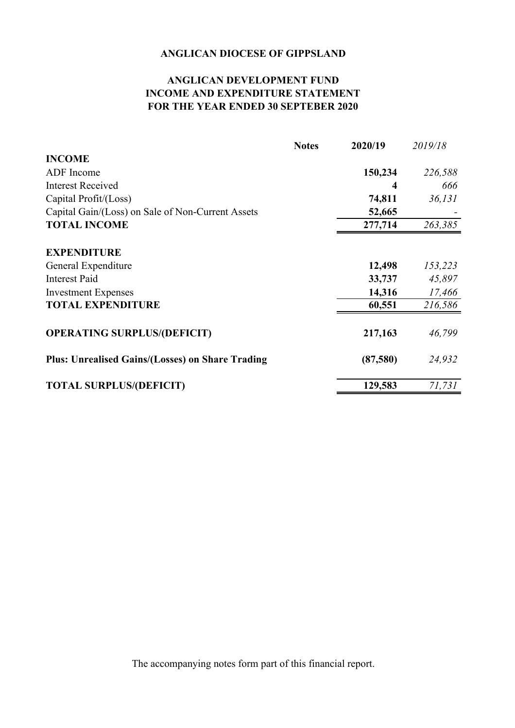### **ANGLICAN DEVELOPMENT FUND INCOME AND EXPENDITURE STATEMENT FOR THE YEAR ENDED 30 SEPTEBER 2020**

|                                                         | <b>Notes</b> | 2020/19  | 2019/18 |
|---------------------------------------------------------|--------------|----------|---------|
| <b>INCOME</b>                                           |              |          |         |
| ADF Income                                              |              | 150,234  | 226,588 |
| <b>Interest Received</b>                                |              |          | 666     |
| Capital Profit/(Loss)                                   |              | 74,811   | 36,131  |
| Capital Gain/(Loss) on Sale of Non-Current Assets       |              | 52,665   |         |
| <b>TOTAL INCOME</b>                                     |              | 277,714  | 263,385 |
|                                                         |              |          |         |
| <b>EXPENDITURE</b>                                      |              |          |         |
| General Expenditure                                     |              | 12,498   | 153,223 |
| <b>Interest Paid</b>                                    |              | 33,737   | 45,897  |
| <b>Investment Expenses</b>                              |              | 14,316   | 17,466  |
| <b>TOTAL EXPENDITURE</b>                                |              | 60,551   | 216,586 |
| <b>OPERATING SURPLUS/(DEFICIT)</b>                      |              | 217,163  | 46,799  |
| <b>Plus: Unrealised Gains/(Losses) on Share Trading</b> |              | (87,580) | 24,932  |
| <b>TOTAL SURPLUS/(DEFICIT)</b>                          |              | 129,583  | 71,731  |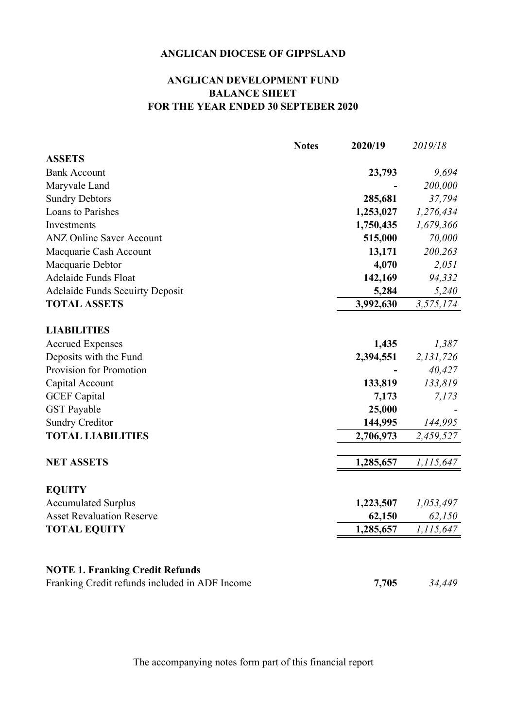### **ANGLICAN DEVELOPMENT FUND BALANCE SHEET FOR THE YEAR ENDED 30 SEPTEBER 2020**

|                                                | <b>Notes</b> | 2020/19   | 2019/18   |
|------------------------------------------------|--------------|-----------|-----------|
| <b>ASSETS</b>                                  |              |           |           |
| <b>Bank Account</b>                            |              | 23,793    | 9,694     |
| Maryvale Land                                  |              |           | 200,000   |
| <b>Sundry Debtors</b>                          |              | 285,681   | 37,794    |
| Loans to Parishes                              |              | 1,253,027 | 1,276,434 |
| Investments                                    |              | 1,750,435 | 1,679,366 |
| <b>ANZ Online Saver Account</b>                |              | 515,000   | 70,000    |
| Macquarie Cash Account                         |              | 13,171    | 200,263   |
| Macquarie Debtor                               |              | 4,070     | 2,051     |
| Adelaide Funds Float                           |              | 142,169   | 94,332    |
| <b>Adelaide Funds Secuirty Deposit</b>         |              | 5,284     | 5,240     |
| <b>TOTAL ASSETS</b>                            |              | 3,992,630 | 3,575,174 |
|                                                |              |           |           |
| <b>LIABILITIES</b>                             |              |           |           |
| <b>Accrued Expenses</b>                        |              | 1,435     | 1,387     |
| Deposits with the Fund                         |              | 2,394,551 | 2,131,726 |
| Provision for Promotion                        |              |           | 40,427    |
| Capital Account                                |              | 133,819   | 133,819   |
| <b>GCEF</b> Capital                            |              | 7,173     | 7,173     |
| <b>GST</b> Payable                             |              | 25,000    |           |
| <b>Sundry Creditor</b>                         |              | 144,995   | 144,995   |
| <b>TOTAL LIABILITIES</b>                       |              | 2,706,973 | 2,459,527 |
|                                                |              |           |           |
| <b>NET ASSETS</b>                              |              | 1,285,657 | 1,115,647 |
|                                                |              |           |           |
| <b>EQUITY</b>                                  |              |           |           |
| <b>Accumulated Surplus</b>                     |              | 1,223,507 | 1,053,497 |
| <b>Asset Revaluation Reserve</b>               |              | 62,150    | 62,150    |
| <b>TOTAL EQUITY</b>                            |              | 1,285,657 | 1,115,647 |
|                                                |              |           |           |
| <b>NOTE 1. Franking Credit Refunds</b>         |              |           |           |
| Franking Credit refunds included in ADF Income |              | 7,705     | 34,449    |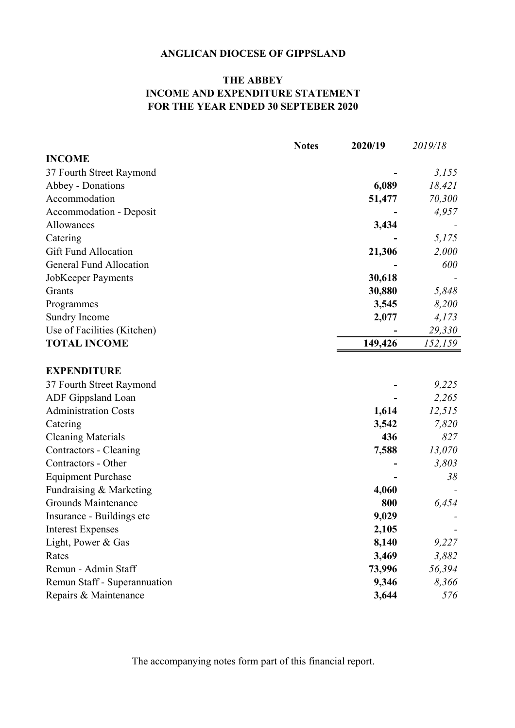### **THE ABBEY INCOME AND EXPENDITURE STATEMENT FOR THE YEAR ENDED 30 SEPTEBER 2020**

|                                | <b>Notes</b> | 2020/19 | 2019/18 |
|--------------------------------|--------------|---------|---------|
| <b>INCOME</b>                  |              |         |         |
| 37 Fourth Street Raymond       |              |         | 3,155   |
| Abbey - Donations              |              | 6,089   | 18,421  |
| Accommodation                  |              | 51,477  | 70,300  |
| Accommodation - Deposit        |              |         | 4,957   |
| Allowances                     |              | 3,434   |         |
| Catering                       |              |         | 5,175   |
| <b>Gift Fund Allocation</b>    |              | 21,306  | 2,000   |
| <b>General Fund Allocation</b> |              |         | 600     |
| JobKeeper Payments             |              | 30,618  |         |
| Grants                         |              | 30,880  | 5,848   |
| Programmes                     |              | 3,545   | 8,200   |
| Sundry Income                  |              | 2,077   | 4,173   |
| Use of Facilities (Kitchen)    |              |         | 29,330  |
| <b>TOTAL INCOME</b>            |              | 149,426 | 152,159 |
| <b>EXPENDITURE</b>             |              |         |         |
| 37 Fourth Street Raymond       |              |         | 9,225   |
| ADF Gippsland Loan             |              |         | 2,265   |
| <b>Administration Costs</b>    |              | 1,614   | 12,515  |
| Catering                       |              | 3,542   | 7,820   |
| <b>Cleaning Materials</b>      |              | 436     | 827     |
| Contractors - Cleaning         |              | 7,588   | 13,070  |
| Contractors - Other            |              |         | 3,803   |
| <b>Equipment Purchase</b>      |              |         | 38      |
| Fundraising & Marketing        |              | 4,060   |         |
| Grounds Maintenance            |              | 800     | 6,454   |
| Insurance - Buildings etc      |              | 9,029   |         |
| <b>Interest Expenses</b>       |              | 2,105   |         |
| Light, Power & Gas             |              | 8,140   | 9,227   |
| Rates                          |              | 3,469   | 3,882   |
| Remun - Admin Staff            |              | 73,996  | 56,394  |
| Remun Staff - Superannuation   |              | 9,346   | 8,366   |
| Repairs & Maintenance          |              | 3,644   | 576     |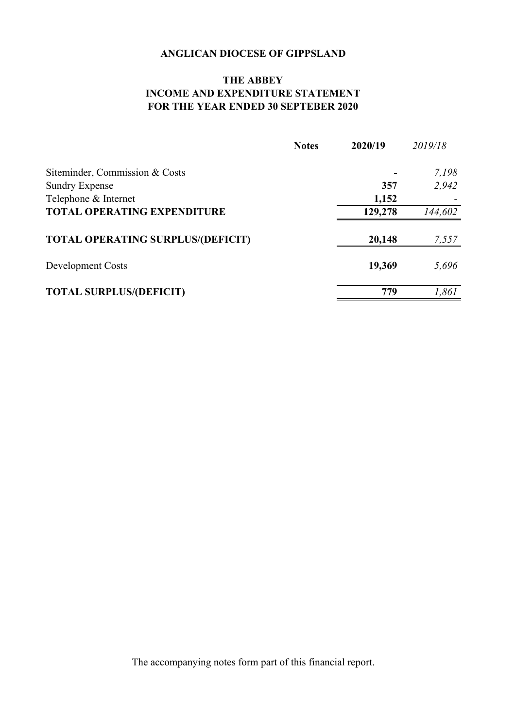### **THE ABBEY INCOME AND EXPENDITURE STATEMENT FOR THE YEAR ENDED 30 SEPTEBER 2020**

|                                          | <b>Notes</b> | 2020/19 | 2019/18 |
|------------------------------------------|--------------|---------|---------|
| Siteminder, Commission & Costs           |              |         | 7,198   |
| <b>Sundry Expense</b>                    |              | 357     | 2,942   |
| Telephone & Internet                     |              | 1,152   |         |
| <b>TOTAL OPERATING EXPENDITURE</b>       |              | 129,278 | 144,602 |
| <b>TOTAL OPERATING SURPLUS/(DEFICIT)</b> |              | 20,148  | 7,557   |
| Development Costs                        |              | 19,369  | 5,696   |
| <b>TOTAL SURPLUS/(DEFICIT)</b>           |              | 779     | 1,861   |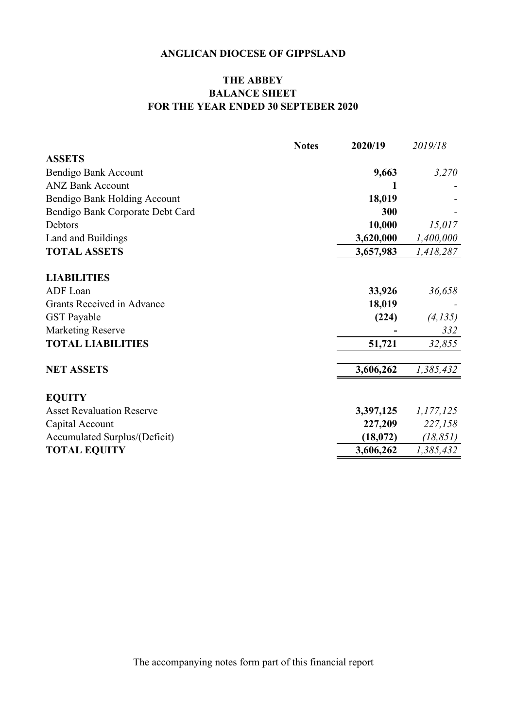### **THE ABBEY BALANCE SHEET FOR THE YEAR ENDED 30 SEPTEBER 2020**

|                                  | <b>Notes</b> | 2020/19   | 2019/18   |
|----------------------------------|--------------|-----------|-----------|
| <b>ASSETS</b>                    |              |           |           |
| Bendigo Bank Account             |              | 9,663     | 3,270     |
| <b>ANZ Bank Account</b>          |              | 1         |           |
| Bendigo Bank Holding Account     |              | 18,019    |           |
| Bendigo Bank Corporate Debt Card |              | 300       |           |
| <b>Debtors</b>                   |              | 10,000    | 15,017    |
| Land and Buildings               |              | 3,620,000 | 1,400,000 |
| <b>TOTAL ASSETS</b>              |              | 3,657,983 | 1,418,287 |
|                                  |              |           |           |
| <b>LIABILITIES</b>               |              |           |           |
| ADF Loan                         |              | 33,926    | 36,658    |
| Grants Received in Advance       |              | 18,019    |           |
| <b>GST</b> Payable               |              | (224)     | (4, 135)  |
| <b>Marketing Reserve</b>         |              |           | 332       |
| <b>TOTAL LIABILITIES</b>         |              | 51,721    | 32,855    |
|                                  |              |           |           |
| <b>NET ASSETS</b>                |              | 3,606,262 | 1,385,432 |
|                                  |              |           |           |
| <b>EQUITY</b>                    |              |           |           |
| <b>Asset Revaluation Reserve</b> |              | 3,397,125 | 1,177,125 |
| Capital Account                  |              | 227,209   | 227,158   |
| Accumulated Surplus/(Deficit)    |              | (18,072)  | (18, 851) |
| <b>TOTAL EQUITY</b>              |              | 3,606,262 | 1,385,432 |
|                                  |              |           |           |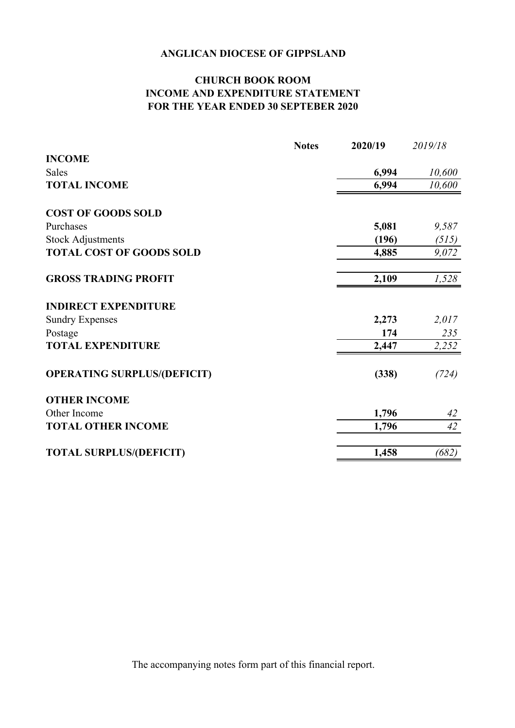### **CHURCH BOOK ROOM INCOME AND EXPENDITURE STATEMENT FOR THE YEAR ENDED 30 SEPTEBER 2020**

|                                    | <b>Notes</b> | 2020/19 | 2019/18 |
|------------------------------------|--------------|---------|---------|
| <b>INCOME</b>                      |              |         |         |
| <b>Sales</b>                       |              | 6,994   | 10,600  |
| <b>TOTAL INCOME</b>                |              | 6,994   | 10,600  |
| <b>COST OF GOODS SOLD</b>          |              |         |         |
| Purchases                          |              | 5,081   | 9,587   |
| <b>Stock Adjustments</b>           |              | (196)   | (515)   |
| <b>TOTAL COST OF GOODS SOLD</b>    |              | 4,885   | 9,072   |
| <b>GROSS TRADING PROFIT</b>        |              | 2,109   | 1,528   |
| <b>INDIRECT EXPENDITURE</b>        |              |         |         |
| <b>Sundry Expenses</b>             |              | 2,273   | 2,017   |
| Postage                            |              | 174     | 235     |
| <b>TOTAL EXPENDITURE</b>           |              | 2,447   | 2,252   |
| <b>OPERATING SURPLUS/(DEFICIT)</b> |              | (338)   | (724)   |
| <b>OTHER INCOME</b>                |              |         |         |
| Other Income                       |              | 1,796   | 42      |
| <b>TOTAL OTHER INCOME</b>          |              | 1,796   | 42      |
| <b>TOTAL SURPLUS/(DEFICIT)</b>     |              | 1,458   | (682)   |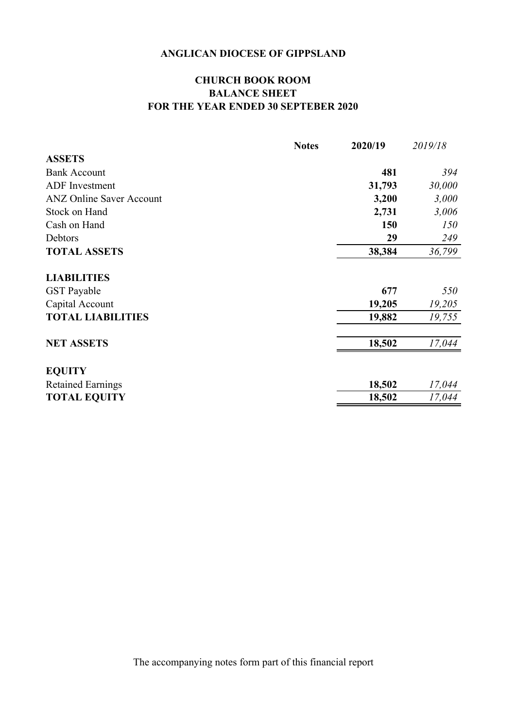### **CHURCH BOOK ROOM BALANCE SHEET FOR THE YEAR ENDED 30 SEPTEBER 2020**

|                                 | <b>Notes</b> | 2020/19 | 2019/18 |
|---------------------------------|--------------|---------|---------|
| <b>ASSETS</b>                   |              |         |         |
| <b>Bank Account</b>             |              | 481     | 394     |
| <b>ADF</b> Investment           |              | 31,793  | 30,000  |
| <b>ANZ Online Saver Account</b> |              | 3,200   | 3,000   |
| Stock on Hand                   |              | 2,731   | 3,006   |
| Cash on Hand                    |              | 150     | 150     |
| Debtors                         |              | 29      | 249     |
| <b>TOTAL ASSETS</b>             |              | 38,384  | 36,799  |
| <b>LIABILITIES</b>              |              |         |         |
| <b>GST</b> Payable              |              | 677     | 550     |
| Capital Account                 |              | 19,205  | 19,205  |
| <b>TOTAL LIABILITIES</b>        |              | 19,882  | 19,755  |
| <b>NET ASSETS</b>               |              | 18,502  | 17,044  |
|                                 |              |         |         |
| <b>EQUITY</b>                   |              |         |         |
| <b>Retained Earnings</b>        |              | 18,502  | 17,044  |
| <b>TOTAL EQUITY</b>             |              | 18,502  | 17,044  |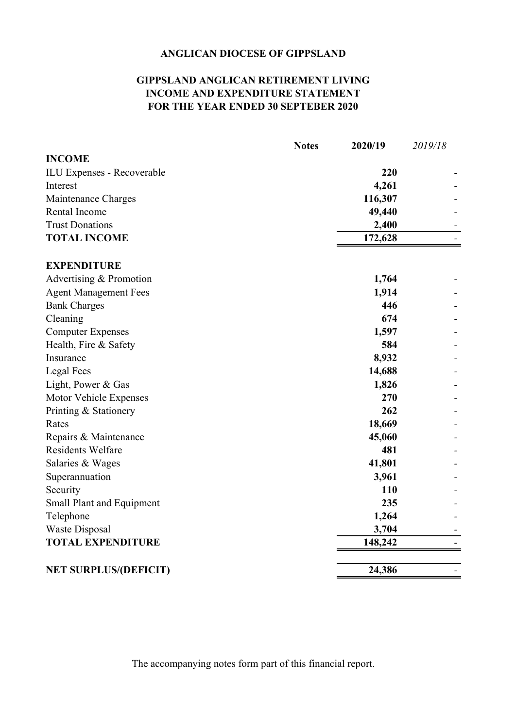### **GIPPSLAND ANGLICAN RETIREMENT LIVING INCOME AND EXPENDITURE STATEMENT FOR THE YEAR ENDED 30 SEPTEBER 2020**

|                                                     | <b>Notes</b> | 2020/19 | 2019/18 |
|-----------------------------------------------------|--------------|---------|---------|
| <b>INCOME</b>                                       |              |         |         |
| ILU Expenses - Recoverable                          |              | 220     |         |
| Interest                                            |              | 4,261   |         |
| Maintenance Charges                                 |              | 116,307 |         |
| Rental Income                                       |              | 49,440  |         |
| <b>Trust Donations</b>                              |              | 2,400   |         |
| <b>TOTAL INCOME</b>                                 |              | 172,628 |         |
| <b>EXPENDITURE</b>                                  |              |         |         |
| Advertising & Promotion                             |              | 1,764   |         |
|                                                     |              | 1,914   |         |
| <b>Agent Management Fees</b><br><b>Bank Charges</b> |              | 446     |         |
| Cleaning                                            |              | 674     |         |
| <b>Computer Expenses</b>                            |              | 1,597   |         |
| Health, Fire & Safety                               |              | 584     |         |
| Insurance                                           |              | 8,932   |         |
| <b>Legal Fees</b>                                   |              | 14,688  |         |
| Light, Power & Gas                                  |              | 1,826   |         |
| Motor Vehicle Expenses                              |              | 270     |         |
| Printing & Stationery                               |              | 262     |         |
| Rates                                               |              | 18,669  |         |
| Repairs & Maintenance                               |              | 45,060  |         |
| <b>Residents Welfare</b>                            |              | 481     |         |
| Salaries & Wages                                    |              | 41,801  |         |
| Superannuation                                      |              | 3,961   |         |
| Security                                            |              | 110     |         |
| <b>Small Plant and Equipment</b>                    |              | 235     |         |
| Telephone                                           |              | 1,264   |         |
| <b>Waste Disposal</b>                               |              | 3,704   |         |
| <b>TOTAL EXPENDITURE</b>                            |              | 148,242 |         |
|                                                     |              |         |         |
| <b>NET SURPLUS/(DEFICIT)</b>                        |              | 24,386  |         |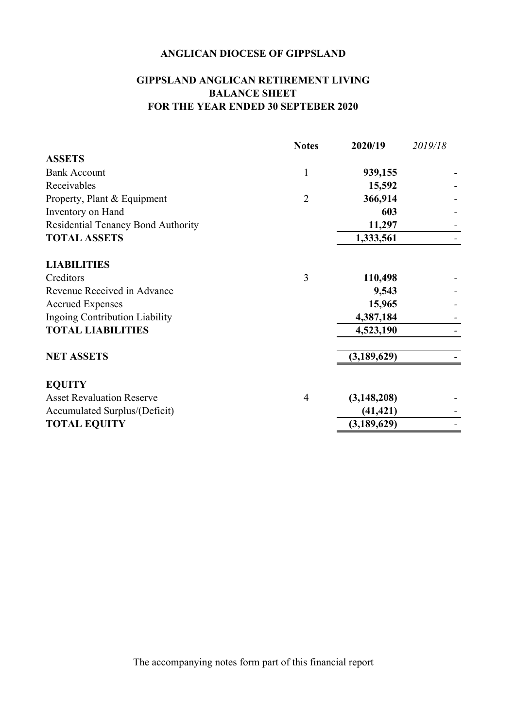### **BALANCE SHEET FOR THE YEAR ENDED 30 SEPTEBER 2020 GIPPSLAND ANGLICAN RETIREMENT LIVING**

|                                    | <b>Notes</b>   | 2020/19       | 2019/18 |
|------------------------------------|----------------|---------------|---------|
| <b>ASSETS</b>                      |                |               |         |
| <b>Bank Account</b>                | 1              | 939,155       |         |
| Receivables                        |                | 15,592        |         |
| Property, Plant & Equipment        | $\overline{2}$ | 366,914       |         |
| Inventory on Hand                  |                | 603           |         |
| Residential Tenancy Bond Authority |                | 11,297        |         |
| <b>TOTAL ASSETS</b>                |                | 1,333,561     |         |
| <b>LIABILITIES</b>                 |                |               |         |
| Creditors                          | 3              | 110,498       |         |
| Revenue Received in Advance        |                | 9,543         |         |
| <b>Accrued Expenses</b>            |                | 15,965        |         |
| Ingoing Contribution Liability     |                | 4,387,184     |         |
| <b>TOTAL LIABILITIES</b>           |                | 4,523,190     |         |
| <b>NET ASSETS</b>                  |                | (3, 189, 629) |         |
| <b>EQUITY</b>                      |                |               |         |
| <b>Asset Revaluation Reserve</b>   | 4              | (3, 148, 208) |         |
| Accumulated Surplus/(Deficit)      |                | (41, 421)     |         |
| <b>TOTAL EQUITY</b>                |                | (3,189,629)   |         |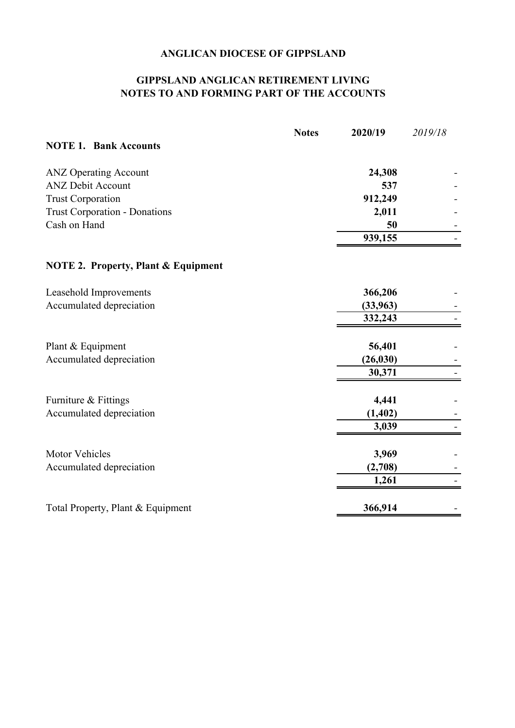### **GIPPSLAND ANGLICAN RETIREMENT LIVING NOTES TO AND FORMING PART OF THE ACCOUNTS**

|                                                | <b>Notes</b> | 2020/19   | 2019/18 |
|------------------------------------------------|--------------|-----------|---------|
| <b>NOTE 1. Bank Accounts</b>                   |              |           |         |
| <b>ANZ Operating Account</b>                   |              | 24,308    |         |
| <b>ANZ Debit Account</b>                       |              | 537       |         |
| <b>Trust Corporation</b>                       |              | 912,249   |         |
| <b>Trust Corporation - Donations</b>           |              | 2,011     |         |
| Cash on Hand                                   |              | 50        |         |
|                                                |              | 939,155   |         |
| <b>NOTE 2. Property, Plant &amp; Equipment</b> |              |           |         |
| Leasehold Improvements                         |              | 366,206   |         |
| Accumulated depreciation                       |              | (33,963)  |         |
|                                                |              | 332,243   |         |
|                                                |              |           |         |
| Plant & Equipment                              |              | 56,401    |         |
| Accumulated depreciation                       |              | (26, 030) |         |
|                                                |              | 30,371    |         |
| Furniture & Fittings                           |              | 4,441     |         |
| Accumulated depreciation                       |              | (1, 402)  |         |
|                                                |              | 3,039     |         |
| <b>Motor Vehicles</b>                          |              | 3,969     |         |
| Accumulated depreciation                       |              | (2,708)   |         |
|                                                |              | 1,261     |         |
|                                                |              |           |         |
| Total Property, Plant & Equipment              |              | 366,914   |         |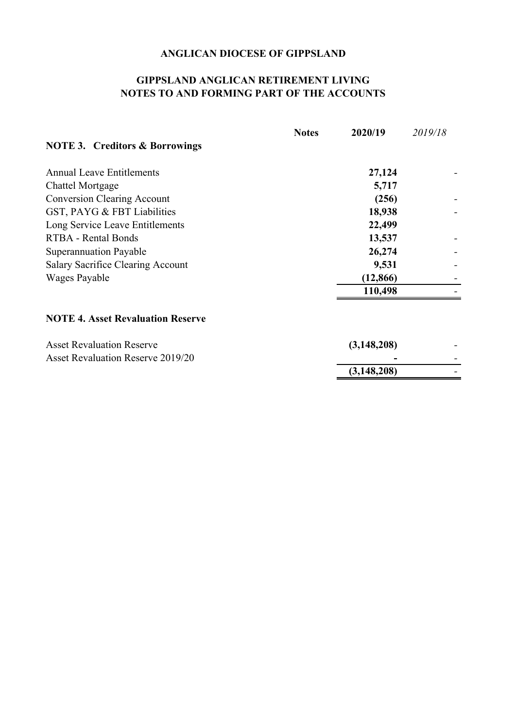#### **GIPPSLAND ANGLICAN RETIREMENT LIVING NOTES TO AND FORMING PART OF THE ACCOUNTS**

|                                           | <b>Notes</b> | 2020/19       | 2019/18 |  |
|-------------------------------------------|--------------|---------------|---------|--|
| <b>NOTE 3. Creditors &amp; Borrowings</b> |              |               |         |  |
| <b>Annual Leave Entitlements</b>          |              | 27,124        |         |  |
| <b>Chattel Mortgage</b>                   |              | 5,717         |         |  |
| <b>Conversion Clearing Account</b>        |              | (256)         |         |  |
| GST, PAYG & FBT Liabilities               |              | 18,938        |         |  |
| Long Service Leave Entitlements           |              | 22,499        |         |  |
| RTBA - Rental Bonds                       |              | 13,537        |         |  |
| Superannuation Payable                    |              | 26,274        |         |  |
| Salary Sacrifice Clearing Account         |              | 9,531         |         |  |
| Wages Payable                             |              | (12, 866)     |         |  |
|                                           |              | 110,498       |         |  |
| <b>NOTE 4. Asset Revaluation Reserve</b>  |              |               |         |  |
| <b>Asset Revaluation Reserve</b>          |              | (3, 148, 208) |         |  |
| <b>Asset Revaluation Reserve 2019/20</b>  |              |               |         |  |

**(3,148,208)** *-*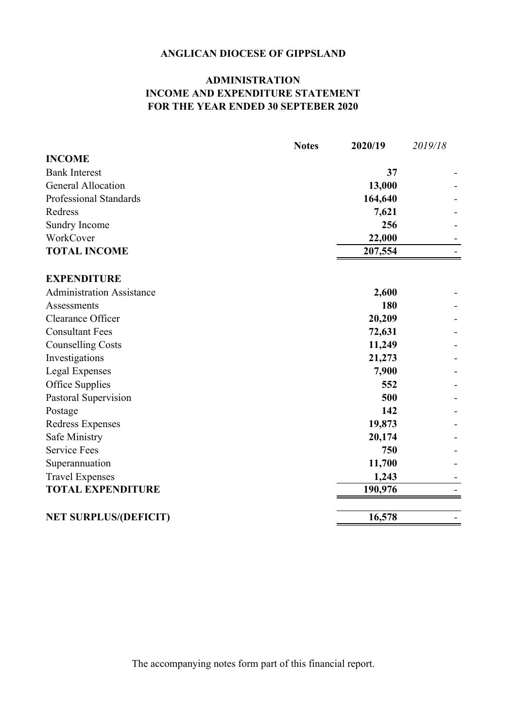### **ADMINISTRATION INCOME AND EXPENDITURE STATEMENT FOR THE YEAR ENDED 30 SEPTEBER 2020**

|                                  | <b>Notes</b> | 2020/19 | 2019/18 |
|----------------------------------|--------------|---------|---------|
| <b>INCOME</b>                    |              |         |         |
| <b>Bank Interest</b>             |              | 37      |         |
| <b>General Allocation</b>        |              | 13,000  |         |
| Professional Standards           |              | 164,640 |         |
| Redress                          |              | 7,621   |         |
| Sundry Income                    |              | 256     |         |
| WorkCover                        |              | 22,000  |         |
| <b>TOTAL INCOME</b>              |              | 207,554 |         |
| <b>EXPENDITURE</b>               |              |         |         |
| <b>Administration Assistance</b> |              | 2,600   |         |
| Assessments                      |              | 180     |         |
| Clearance Officer                |              | 20,209  |         |
| <b>Consultant Fees</b>           |              | 72,631  |         |
| <b>Counselling Costs</b>         |              | 11,249  |         |
| Investigations                   |              | 21,273  |         |
| Legal Expenses                   |              | 7,900   |         |
| Office Supplies                  |              | 552     |         |
| Pastoral Supervision             |              | 500     |         |
| Postage                          |              | 142     |         |
| Redress Expenses                 |              | 19,873  |         |
| Safe Ministry                    |              | 20,174  |         |
| <b>Service Fees</b>              |              | 750     |         |
| Superannuation                   |              | 11,700  |         |
| <b>Travel Expenses</b>           |              | 1,243   |         |
| <b>TOTAL EXPENDITURE</b>         |              | 190,976 |         |
|                                  |              |         |         |
| <b>NET SURPLUS/(DEFICIT)</b>     |              | 16,578  |         |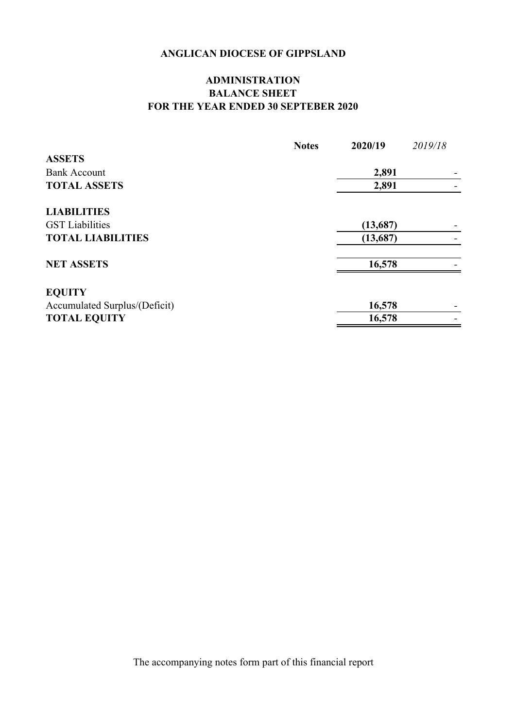### **ADMINISTRATION BALANCE SHEET FOR THE YEAR ENDED 30 SEPTEBER 2020**

|                               | <b>Notes</b> | 2020/19  | 2019/18 |
|-------------------------------|--------------|----------|---------|
| <b>ASSETS</b>                 |              |          |         |
| <b>Bank Account</b>           |              | 2,891    |         |
| <b>TOTAL ASSETS</b>           |              | 2,891    |         |
| <b>LIABILITIES</b>            |              |          |         |
| <b>GST</b> Liabilities        |              | (13,687) |         |
| <b>TOTAL LIABILITIES</b>      |              | (13,687) |         |
| <b>NET ASSETS</b>             |              | 16,578   |         |
| <b>EQUITY</b>                 |              |          |         |
| Accumulated Surplus/(Deficit) |              | 16,578   |         |
| <b>TOTAL EQUITY</b>           |              | 16,578   |         |
|                               |              |          |         |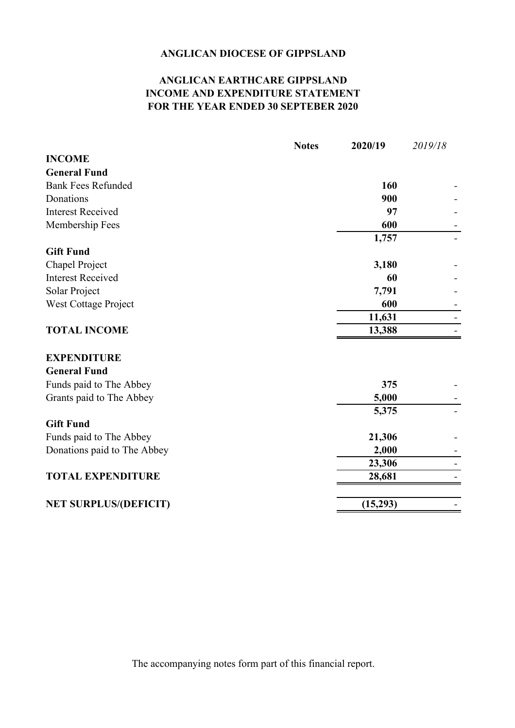### **ANGLICAN EARTHCARE GIPPSLAND INCOME AND EXPENDITURE STATEMENT FOR THE YEAR ENDED 30 SEPTEBER 2020**

|                              | <b>Notes</b> | 2020/19  | 2019/18 |
|------------------------------|--------------|----------|---------|
| <b>INCOME</b>                |              |          |         |
| <b>General Fund</b>          |              |          |         |
| <b>Bank Fees Refunded</b>    |              | 160      |         |
| Donations                    |              | 900      |         |
| <b>Interest Received</b>     |              | 97       |         |
| Membership Fees              |              | 600      |         |
| <b>Gift Fund</b>             |              | 1,757    |         |
| Chapel Project               |              | 3,180    |         |
| <b>Interest Received</b>     |              | 60       |         |
| Solar Project                |              | 7,791    |         |
| <b>West Cottage Project</b>  |              | 600      |         |
|                              |              | 11,631   |         |
| <b>TOTAL INCOME</b>          |              | 13,388   |         |
| <b>EXPENDITURE</b>           |              |          |         |
| <b>General Fund</b>          |              |          |         |
| Funds paid to The Abbey      |              | 375      |         |
| Grants paid to The Abbey     |              | 5,000    |         |
|                              |              | 5,375    |         |
| <b>Gift Fund</b>             |              |          |         |
| Funds paid to The Abbey      |              | 21,306   |         |
| Donations paid to The Abbey  |              | 2,000    |         |
|                              |              | 23,306   |         |
| <b>TOTAL EXPENDITURE</b>     |              | 28,681   |         |
| <b>NET SURPLUS/(DEFICIT)</b> |              | (15,293) |         |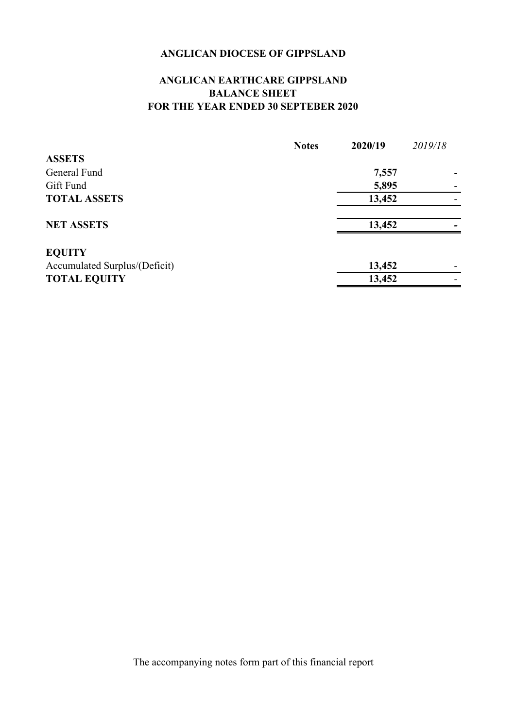### **ANGLICAN EARTHCARE GIPPSLAND BALANCE SHEET FOR THE YEAR ENDED 30 SEPTEBER 2020**

|                               | <b>Notes</b> | 2020/19 | 2019/18 |
|-------------------------------|--------------|---------|---------|
| <b>ASSETS</b>                 |              |         |         |
| General Fund                  |              | 7,557   |         |
| Gift Fund                     |              | 5,895   |         |
| <b>TOTAL ASSETS</b>           |              | 13,452  |         |
| <b>NET ASSETS</b>             |              | 13,452  |         |
| <b>EQUITY</b>                 |              |         |         |
| Accumulated Surplus/(Deficit) |              | 13,452  |         |
| <b>TOTAL EQUITY</b>           |              | 13,452  |         |